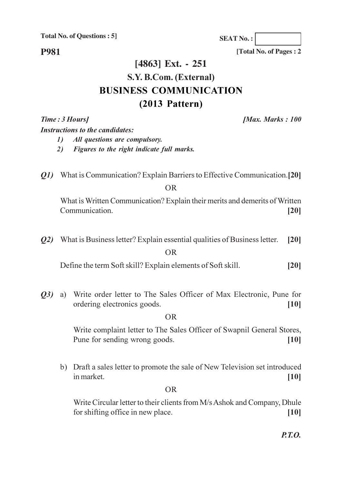**Total No. of Questions : 5]**

**P981**

**[Total No. of Pages : 2**

**SEAT No. :**

## **[4863] Ext. - 251 S.Y. B.Com. (External) BUSINESS COMMUNICATION (2013 Pattern)**

*Time: 3 Ho* 

*Instructions to the candidates:* 

*all questions are compulsory.* 

2) Figures to the right indicate full marks.

Q1) What is Communication? Explain Barriers to Effective Communication.[20]

 $OR$ 

What is Written Communication? Explain their merits and demerits of Written Communicatio **n**.  $[20]$ 

22) What is Business letter? Explain essential qualities of Business letter. [  $\left[20\right]$ 

 $OR$ 

Define the term Soft skill? Explain elements of Soft skill.  $[20]$ 

(23) a) Write order letter to The Sales Officer of Max Electronic, Pune for ordering electronics goo ds.  $\qquad \qquad \blacksquare$  $[10]$ 

**OR** 

Write complaint letter to The Sales Officer of Swapnil General Stores, Pune for sending wrong goo ds.  $\qquad \qquad \blacksquare$  $[10]$ 

b) Draft a sales letter to promote the sale of New Television set introduced in market.  $[10]$ 

**OR** 

Write Circular letter to their clients from M/s Ashok and Company, Dhule for shifting office in new place.  $[10]$ 

*P.T.O.* 

*[Max. Marks: 100]*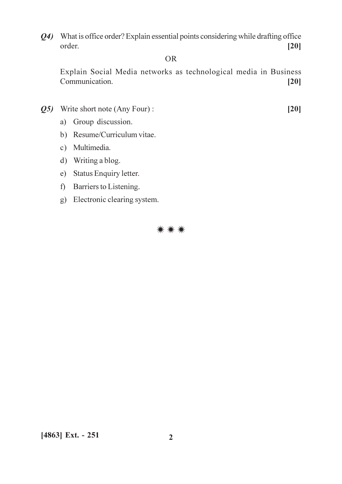Q4) What is office order? Explain essential points considering while drafting office order.  $[20]$ 

#### **OR**

Explain Social Media networks as technological media in Business Communication.  $[20]$ 

- Q5) Write short note (Any Four):
	- a) Group discussion.
	- b) Resume/Curriculum vitae.
	- c) Multimedia.
	- d) Writing a blog.
	- e) Status Enquiry letter.
	- f) Barriers to Listening.
	- g) Electronic clearing system.



 $[20]$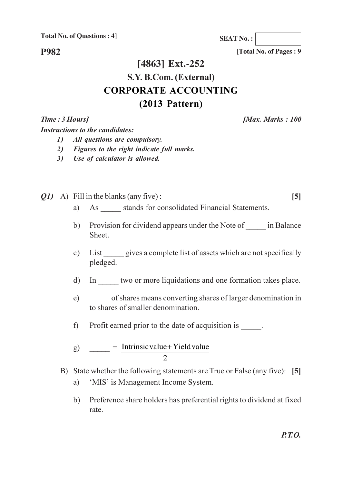**Total No. of Questions: 4]** 

**P982** 

[Total No. of Pages: 9]

**SEAT No.:** 

# [4863] Ext.-252 S.Y. B.Com. (External) **CORPORATE ACCOUNTING**  $(2013$  Pattern)

Time: 3 Hours]

**Instructions to the candidates:** 

[Max. Marks: 100

- $\mathbf{I}$ All questions are compulsory.
- $2)$ Figures to the right indicate full marks.
- Use of calculator is allowed.  $3)$

 $Q1)$  A) Fill in the blanks (any five):  $[5]$ 

- As stands for consolidated Financial Statements. a)
- Provision for dividend appears under the Note of in Balance  $b)$ Sheet.
- List gives a complete list of assets which are not specifically  $c)$ pledged.
- In two or more liquidations and one formation takes place.  $\mathbf{d}$
- of shares means converting shares of larger denomination in e) to shares of smaller denomination.
- Profit earned prior to the date of acquisition is .  $\hat{D}$
- $\frac{1}{\sqrt{1-\frac{1}{2}}}$  = <u>Intrinsic value</u> + Yield value  $\mathbf{g}$
- B) State whether the following statements are True or False (any five): [5]
	- 'MIS' is Management Income System. a)
	- Preference share holders has preferential rights to dividend at fixed  $b)$ rate.

 $P.T.O.$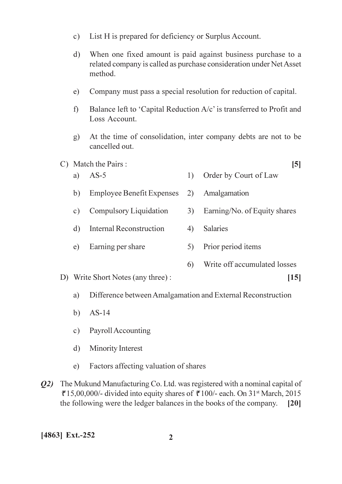- List H is prepared for deficiency or Surplus Account.  $c)$
- $\mathbf{d}$ When one fixed amount is paid against business purchase to a related company is called as purchase consideration under Net Asset method.
- Company must pass a special resolution for reduction of capital.  $e)$
- Balance left to 'Capital Reduction A/c' is transferred to Profit and  $f$ Loss Account.
- At the time of consolidation, inter company debts are not to be  $g)$ cancelled out.
- C) Match the Pairs :
	- $AS-5$ Order by Court of Law a)  $1)$
	- **Employee Benefit Expenses**  $(2)$  $b)$ Amalgamation
	- Compulsory Liquidation  $3)$ Earning/No. of Equity shares  $c)$
	- **Internal Reconstruction** 4) **Salaries** d)
	- Prior period items Earning per share  $e)$  $5)$ 
		- Write off accumulated losses  $6)$

 $\left[5\right]$ 

 $[15]$ 

- D) Write Short Notes (any three):
	- Difference between Amalgamation and External Reconstruction a)
	- b)  $AS-14$
	- Payroll Accounting  $c)$
	- Minority Interest  $d)$
	- $e)$ Factors affecting valuation of shares
- **Q2)** The Mukund Manufacturing Co. Ltd. was registered with a nominal capital of ₹15,00,000/- divided into equity shares of ₹100/- each. On  $31<sup>st</sup>$  March, 2015 the following were the ledger balances in the books of the company. [20]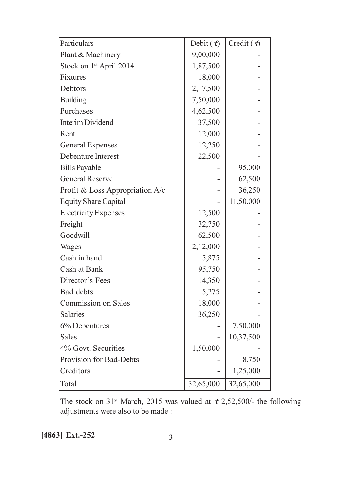| Particulars                         | Debit $(\vec{\tau})$ | Credit $(\vec{\tau})$ |
|-------------------------------------|----------------------|-----------------------|
| Plant & Machinery                   | 9,00,000             |                       |
| Stock on 1 <sup>st</sup> April 2014 | 1,87,500             |                       |
| Fixtures                            | 18,000               |                       |
| Debtors                             | 2,17,500             |                       |
| <b>Building</b>                     | 7,50,000             |                       |
| Purchases                           | 4,62,500             |                       |
| Interim Dividend                    | 37,500               |                       |
| Rent                                | 12,000               |                       |
| <b>General Expenses</b>             | 12,250               |                       |
| Debenture Interest                  | 22,500               |                       |
| <b>Bills Payable</b>                |                      | 95,000                |
| <b>General Reserve</b>              |                      | 62,500                |
| Profit & Loss Appropriation A/c     |                      | 36,250                |
| Equity Share Capital                |                      | 11,50,000             |
| <b>Electricity Expenses</b>         | 12,500               |                       |
| Freight                             | 32,750               |                       |
| Goodwill                            | 62,500               |                       |
| <b>Wages</b>                        | 2,12,000             |                       |
| Cash in hand                        | 5,875                |                       |
| Cash at Bank                        | 95,750               |                       |
| Director's Fees                     | 14,350               |                       |
| Bad debts                           | 5,275                |                       |
| Commission on Sales                 | 18,000               |                       |
| Salaries                            | 36,250               |                       |
| 6% Debentures                       |                      | 7,50,000              |
| Sales                               |                      | 10,37,500             |
| 4% Govt. Securities                 | 1,50,000             |                       |
| Provision for Bad-Debts             |                      | 8,750                 |
| Creditors                           |                      | 1,25,000              |
| Total                               | 32,65,000            | 32,65,000             |

The stock on 31<sup>st</sup> March, 2015 was valued at  $\bar{\tau}$  2,52,500/- the following adjustments were also to be made :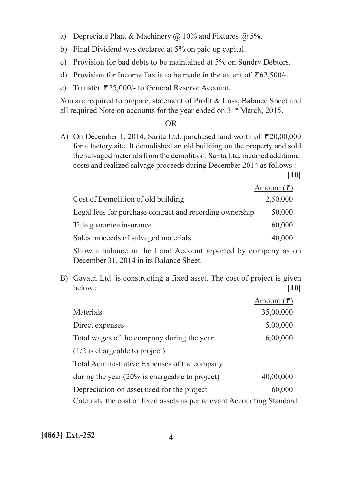- a) Depreciate Plant & Machinery ( $\hat{\omega}$  10% and Fixtures ( $\hat{\omega}$  5%.
- b) Final Dividend was declared at 5% on paid up capital.
- c) Provision for bad debts to be maintained at 5% on Sundry Debtors.
- d) Provision for Income Tax is to be made in the extent of  $\overline{\tau}62,500/-$ .
- e) Transfer  $\bar{\tau}$ 25,000/- to General Reserve Account.

You are required to prepare, statement of Profit & Loss, Balance Sheet and all required Note on accounts for the year ended on 31<sup>st</sup> March, 2015.

#### $OR$

A) On December 1, 2014, Sarita Ltd. purchased land worth of  $\bar{\tau}$  20,00,000 for a factory site. It demolished an old building on the property and sold the salvaged materials from the demolition. Sarita Ltd. incurred additional costs and realized salvage proceeds during December 2014 as follows :-

|                                                          | Amount $(\bar{\tau})$ |
|----------------------------------------------------------|-----------------------|
| Cost of Demolition of old building                       | 2,50,000              |
| Legal fees for purchase contract and recording ownership | 50,000                |
| Title guarantee insurance                                | 60,000                |
| Sales proceeds of salvaged materials                     | 40,000                |

 $[10]$ 

Show a balance in the Land Account reported by company as on December 31, 2014 in its Balance Sheet.

B) Gayatri Ltd. is constructing a fixed asset. The cost of project is given below:  $[10]$ 

|                                                                        | Amount $(\bar{r})$ |
|------------------------------------------------------------------------|--------------------|
| Materials                                                              | 35,00,000          |
| Direct expenses                                                        | 5,00,000           |
| Total wages of the company during the year                             | 6,00,000           |
| $(1/2)$ is chargeable to project)                                      |                    |
| Total Administrative Expenses of the company                           |                    |
| during the year $(20\%$ is chargeable to project)                      | 40,00,000          |
| Depreciation on asset used for the project                             | 60,000             |
| Calculate the cost of fixed assets as per relevant Accounting Standard |                    |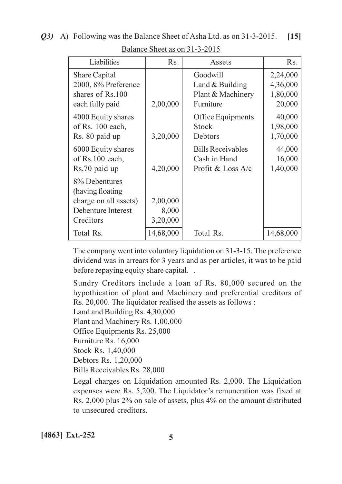| Liabilities                                                                                    | Rs.                           | Assets                   | R <sub>s</sub> . |
|------------------------------------------------------------------------------------------------|-------------------------------|--------------------------|------------------|
| <b>Share Capital</b>                                                                           | 2,00,000                      | Goodwill                 | 2,24,000         |
| 2000, 8% Preference                                                                            |                               | Land $&$ Building        | 4,36,000         |
| shares of Rs.100                                                                               |                               | Plant & Machinery        | 1,80,000         |
| each fully paid                                                                                |                               | Furniture                | 20,000           |
| 4000 Equity shares                                                                             | 3,20,000                      | Office Equipments        | 40,000           |
| of Rs. 100 each,                                                                               |                               | <b>Stock</b>             | 1,98,000         |
| Rs. 80 paid up                                                                                 |                               | Debtors                  | 1,70,000         |
| 6000 Equity shares                                                                             | 4,20,000                      | <b>Bills Receivables</b> | 44,000           |
| of Rs.100 each,                                                                                |                               | Cash in Hand             | 16,000           |
| Rs.70 paid up                                                                                  |                               | Profit & Loss $A/c$      | 1,40,000         |
| 8% Debentures<br>(having floating)<br>charge on all assets)<br>Debenture Interest<br>Creditors | 2,00,000<br>8,000<br>3,20,000 |                          |                  |
| Total Rs.                                                                                      | 14,68,000                     | Total Rs.                | 14,68,000        |

Balance Sheet as on 31-3-2015

The company went into voluntary liquidation on 31-3-15. The preference dividend was in arrears for 3 years and as per articles, it was to be paid before repaying equity share capital...

Sundry Creditors include a loan of Rs. 80,000 secured on the hypothication of plant and Machinery and preferential creditors of Rs. 20,000. The liquidator realised the assets as follows :

Land and Building Rs. 4,30,000

Plant and Machinery Rs. 1,00,000

Office Equipments Rs. 25,000

Furniture Rs. 16,000

Stock Rs. 1,40,000

Debtors Rs. 1,20,000

Bills Receivables Rs. 28,000

Legal charges on Liquidation amounted Rs. 2,000. The Liquidation expenses were Rs. 5,200. The Liquidator's remuneration was fixed at Rs. 2,000 plus 2% on sale of assets, plus 4% on the amount distributed to unsecured creditors.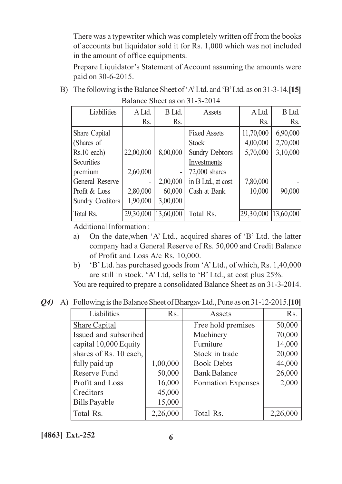There was a typewriter which was completely written off from the books of accounts but liquidator sold it for Rs. 1,000 which was not included in the amount of office equipments.

Prepare Liquidator's Statement of Account assuming the amounts were paid on 30-6-2015.

B) The following is the Balance Sheet of 'A' Ltd. and 'B' Ltd. as on 31-3-14.[15] Balance Sheet as on 31-3-2014

| Liabilities             | A Ltd.    | B Ltd.    | <b>Assets</b>         | A Ltd.    | $B$ Ltd.  |
|-------------------------|-----------|-----------|-----------------------|-----------|-----------|
|                         | Rs.       | Rs.       |                       | Rs.       | Rs.       |
| Share Capital           |           |           | <b>Fixed Assets</b>   | 11,70,000 | 6,90,000  |
| (Shares of              |           |           | <b>Stock</b>          | 4,00,000  | 2,70,000  |
| $Rs.10$ each)           | 22,00,000 | 8,00,000  | <b>Sundry Debtors</b> | 5,70,000  | 3,10,000  |
| <b>Securities</b>       |           |           | Investments           |           |           |
| premium                 | 2,60,000  |           | 72,000 shares         |           |           |
| General Reserve         |           | 2,00,000  | in B Ltd., at cost    | 7,80,000  |           |
| Profit & Loss           | 2,80,000  | 60,000    | Cash at Bank          | 10,000    | 90,000    |
| <b>Sundry Creditors</b> | 1,90,000  | 3,00,000  |                       |           |           |
| Total Rs.               | 29,30,000 | 13,60,000 | Total Rs.             | 29,30,000 | 13,60,000 |

**Additional Information:** 

- On the date, when 'A' Ltd., acquired shares of 'B' Ltd. the latter a) company had a General Reserve of Rs. 50,000 and Credit Balance of Profit and Loss A/c Rs. 10,000.
- 'B' Ltd. has purchased goods from 'A' Ltd., of which, Rs. 1,40,000  $b)$ are still in stock. 'A' Ltd, sells to 'B' Ltd., at cost plus 25%. You are required to prepare a consolidated Balance Sheet as on 31-3-2014.
- $Q_4$  A) Following is the Balance Sheet of Bhargav Ltd., Pune as on 31-12-2015.[10]

| Liabilities            | Rs.      | Assets                    | Rs.      |
|------------------------|----------|---------------------------|----------|
| <b>Share Capital</b>   |          | Free hold premises        | 50,000   |
| Issued and subscribed  |          | Machinery                 | 70,000   |
| capital 10,000 Equity  |          | Furniture                 | 14,000   |
| shares of Rs. 10 each, |          | Stock in trade            | 20,000   |
| fully paid up          | 1,00,000 | <b>Book Debts</b>         | 44,000   |
| <b>Reserve Fund</b>    | 50,000   | <b>Bank Balance</b>       | 26,000   |
| Profit and Loss        | 16,000   | <b>Formation Expenses</b> | 2,000    |
| Creditors              | 45,000   |                           |          |
| <b>Bills Payable</b>   | 15,000   |                           |          |
| Total Rs.              | 2,26,000 | Total Rs.                 | 2,26,000 |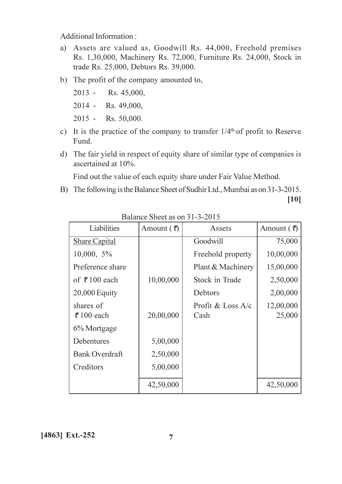**Additional Information:** 

- a) Assets are valued as, Goodwill Rs. 44,000, Freehold premises Rs. 1,30,000, Machinery Rs. 72,000, Furniture Rs. 24,000, Stock in trade Rs. 25,000, Debtors Rs. 39,000.
- b) The profit of the company amounted to,
	- $2013 -$ Rs. 45,000,
	- $2014 -$ Rs. 49,000,
	- $2015 -$ Rs. 50,000.
- c) It is the practice of the company to transfer  $1/4<sup>th</sup>$  of profit to Reserve Fund.
- d) The fair yield in respect of equity share of similar type of companies is ascertained at 10%.

Find out the value of each equity share under Fair Value Method.

B) The following is the Balance Sheet of Sudhir Ltd., Mumbai as on 31-3-2015.

| Liabilities              | Amount $(\vec{\tau})$ | Assets                | Amount $(\vec{\tau})$ |
|--------------------------|-----------------------|-----------------------|-----------------------|
| <b>Share Capital</b>     |                       | Goodwill              | 75,000                |
| 10,000, 5%               |                       | Freehold property     | 10,00,000             |
| Preference share         |                       | Plant & Machinery     | 15,00,000             |
| of $\bar{\tau}$ 100 each | 10,00,000             | <b>Stock in Trade</b> | 2,50,000              |
| 20,000 Equity            |                       | Debtors               | 2,00,000              |
| shares of                |                       | Profit & Loss $A/c$   | 12,00,000             |
| $\bar{\tau}$ 100 each    | 20,00,000             | Cash                  | 25,000                |
| 6% Mortgage              |                       |                       |                       |
| Debentures               | 5,00,000              |                       |                       |
| <b>Bank Overdraft</b>    | 2,50,000              |                       |                       |
| Creditors                | 5,00,000              |                       |                       |
|                          | 42,50,000             |                       | 42,50,000             |

Balance Sheet as on 31-3-2015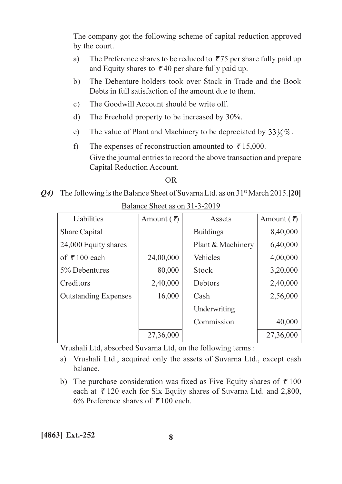The company got the following scheme of capital reduction approved by the court.

- The Preference shares to be reduced to  $\bar{\tau}$  75 per share fully paid up a) and Equity shares to  $\bar{\tau}$  40 per share fully paid up.
- The Debenture holders took over Stock in Trade and the Book  $b)$ Debts in full satisfaction of the amount due to them.
- The Goodwill Account should be write off.  $c)$
- The Freehold property to be increased by 30%.  $d)$
- The value of Plant and Machinery to be depreciated by  $33\frac{1}{3}\%$ .  $e)$
- $f$ The expenses of reconstruction amounted to  $\bar{\tau}$  15,000. Give the journal entries to record the above transaction and prepare Capital Reduction Account.

 $OR$ 

*Q4*) The following is the Balance Sheet of Suvarna Ltd. as on  $31<sup>st</sup>$  March 2015.[20]

| Liabilities                 | Amount $(\vec{\tau})$ | Assets            | Amount $(\vec{\tau})$ |
|-----------------------------|-----------------------|-------------------|-----------------------|
| <b>Share Capital</b>        |                       | <b>Buildings</b>  | 8,40,000              |
| 24,000 Equity shares        |                       | Plant & Machinery | 6,40,000              |
| of $\bar{\tau}$ 100 each    | 24,00,000             | <b>Vehicles</b>   | 4,00,000              |
| 5% Debentures               | 80,000                | Stock             | 3,20,000              |
| Creditors                   | 2,40,000              | Debtors           | 2,40,000              |
| <b>Outstanding Expenses</b> | 16,000                | Cash              | 2,56,000              |
|                             |                       | Underwriting      |                       |
|                             |                       | Commission        | 40,000                |
|                             | 27,36,000             |                   | 27,36,000             |

Balance Sheet as on 31-3-2019

Vrushali Ltd, absorbed Suvarna Ltd, on the following terms:

- a) Vrushali Ltd., acquired only the assets of Suvarna Ltd., except cash balance.
- b) The purchase consideration was fixed as Five Equity shares of  $\bar{\tau}$  100 each at  $\bar{\tau}$  120 each for Six Equity shares of Suvarna Ltd. and 2,800, 6% Preference shares of  $\bar{\tau}$ 100 each.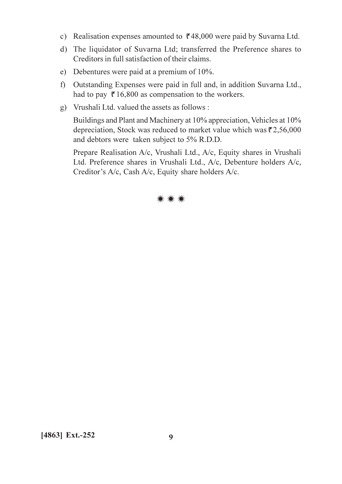- c) Realisation expenses amounted to  $\bar{\tau}$ 48,000 were paid by Suvarna Ltd.
- d) The liquidator of Suvarna Ltd; transferred the Preference shares to Creditors in full satisfaction of their claims.
- e) Debentures were paid at a premium of 10%.
- f) Outstanding Expenses were paid in full and, in addition Suvarna Ltd., had to pay  $\bar{\tau}$  16,800 as compensation to the workers.
- g) Vrushali Ltd. valued the assets as follows :

Buildings and Plant and Machinery at 10% appreciation, Vehicles at 10% depreciation, Stock was reduced to market value which was  $\bar{\tau}$ 2,56,000 and debtors were taken subject to 5% R.D.D.

Prepare Realisation A/c, Vrushali Ltd., A/c, Equity shares in Vrushali Ltd. Preference shares in Vrushali Ltd., A/c, Debenture holders A/c, Creditor's A/c, Cash A/c, Equity share holders A/c.

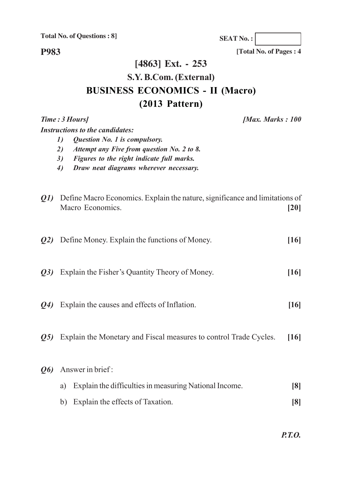**Total No. of Questions : 8]**

**SEAT No. :**

**P983**

**[Total No. of Pages : 4**

# **[4863] Ext. - 253 S.Y. B.Com. (External) BUSINESS ECONOMICS - II (Macro) (2013 Pattern)**

*Instructions to the candidates:*

*Time : 3 Hours] [Max. Marks : 100*

- *1) Question No. 1 is compulsory.*
- *2) Attempt any Five from question No. 2 to 8.*
- *3) Figures to the right indicate full marks.*
- *4) Draw neat diagrams wherever necessary.*

| Q1)                            | Define Macro Economics. Explain the nature, significance and limitations of<br>Macro Economics. | $[20]$            |
|--------------------------------|-------------------------------------------------------------------------------------------------|-------------------|
| Q2)                            | Define Money. Explain the functions of Money.                                                   | [16]              |
| Q3)                            | Explain the Fisher's Quantity Theory of Money.                                                  | $[16]$            |
| $Q_4$                          | Explain the causes and effects of Inflation.                                                    | $[16]$            |
| Q5)                            | Explain the Monetary and Fiscal measures to control Trade Cycles.                               | [16]              |
| $\mathbf{\Omega}$ <sub>6</sub> | Answer in brief:                                                                                |                   |
|                                | Explain the difficulties in measuring National Income.<br>a)                                    | $\lceil 8 \rceil$ |
|                                | Explain the effects of Taxation.<br>b)                                                          | $\lceil 8 \rceil$ |

*P.T.O.*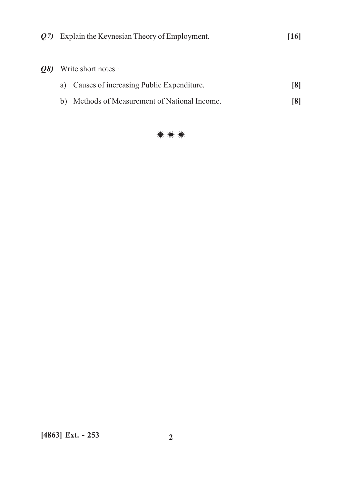| $(27)$ Explain the Keynesian Theory of Employment. | $[16]$ |
|----------------------------------------------------|--------|
|                                                    |        |

## Q8) Write short notes :

| a) Causes of increasing Public Expenditure.   | [8] |
|-----------------------------------------------|-----|
| b) Methods of Measurement of National Income. | [8] |

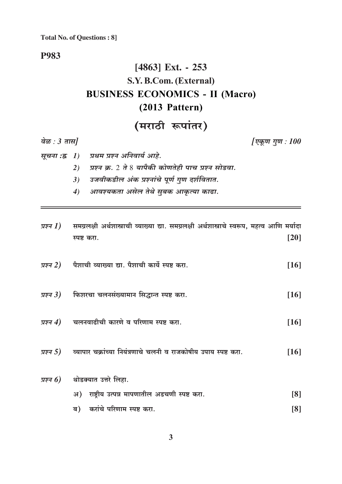### **P983**

वेळ:  $3 \pi H$ 

# $[4863]$  Ext. - 253 S.Y. B.Com. (External) **BUSINESS ECONOMICS - II (Macro)**  $(2013$  Pattern)

# (मराठी रूपांतर)

[एकूण गुण : 100

- प्रथम प्रश्न अनिवार्य आहे. सूचना :ह्र 1)
	- $2)$ प्रश्न क्र. 2 ते 8 यापैकी कोणतेही पाच प्रश्न सोडवा.
	- उजवीकडील अंक प्रश्नांचे पूर्ण गुण दर्शवितात.  $3)$
	- आवश्यकता असेल तेथे सुबक आकृत्या काढा.  $\boldsymbol{4}$

| प्रश्न $I$ ) समग्रलक्षी अर्थशास्त्राची व्याख्या द्या. समग्रलक्षी अर्थशास्त्राचे स्वरूप, महत्व आणि मर्यादा |        |
|-----------------------------------------------------------------------------------------------------------|--------|
| स्पष्ट करा.                                                                                               | $[20]$ |
| <i>प्रश्न</i> 2) पैशाची व्याख्या द्या. पैशाची कार्ये स्पष्ट करा.                                          | $[16]$ |
| प्रश्न $3$ ) पिन्न्शरचा चलनसंख्यामान सिद्धान्त स्पष्ट करा.                                                | $[16]$ |
| प्रश्न 4) जलनवाढीची कारणे व परिणाम स्पष्ट करा.                                                            | [16]   |
| प्रश्न 5) व्यापार चक्रांच्या नियंत्रणाचे चलनी व राजकोषीय उपाय स्पष्ट करा.                                 | [16]   |
| प्रश्न $6$ ) शोडक्यात उत्तरे लिहा.                                                                        |        |
| अ) राष्ट्रीय उत्पन्न मापणातील अडचणी स्पष्ट करा.                                                           | [8]    |
| ब) करांचे परिणाम स्पष्ट करा.                                                                              | [8]    |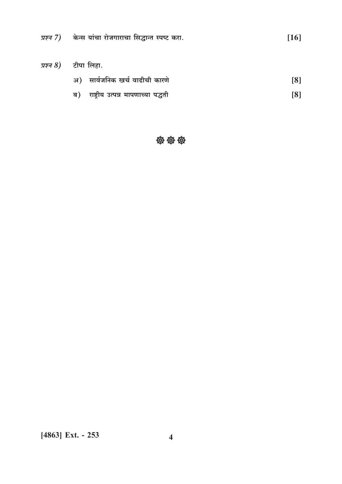| <i>प्रश्न 7)</i> केन्स यांचा रोजगाराचा सिद्धान्त स्पष्ट करा. | $[16]$ |
|--------------------------------------------------------------|--------|
|--------------------------------------------------------------|--------|

| <i>प्रश्न 8)</i> टीपा लिहा. |                                     |     |  |
|-----------------------------|-------------------------------------|-----|--|
|                             | अ) सार्वजनिक खर्च वाढीची कारणे      | [8] |  |
|                             | ब) राष्टीय उत्पन्न मापणाच्या पद्धती | [8] |  |

## **密密密**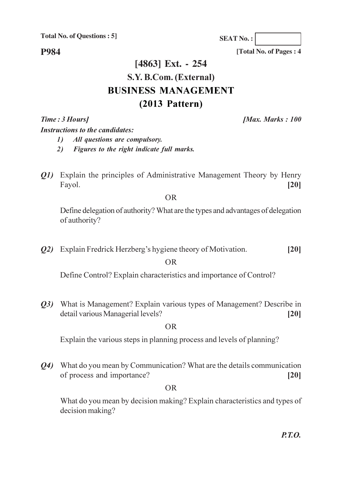**Total No. of Questions: 5]** 

**SEAT No.:** 

**P984** 

[Total No. of Pages: 4]

# [4863] Ext. - 254 S.Y. B.Com. (External) **BUSINESS MANAGEMENT**  $(2013$  Pattern)

Time: 3 Hours] **Instructions to the candidates:**  [Max. Marks: 100

All questions are compulsory.  $\mathcal{L}$ 

- Figures to the right indicate full marks.  $2)$
- *O1*) Explain the principles of Administrative Management Theory by Henry Fayol.  $[20]$

**OR** 

Define delegation of authority? What are the types and advantages of delegation of authority?

Q2) Explain Fredrick Herzberg's hygiene theory of Motivation.  $[20]$ 

 $OR$ 

Define Control? Explain characteristics and importance of Control?

*Q3*) What is Management? Explain various types of Management? Describe in detail various Managerial levels?  $[20]$ 

 $OR$ 

Explain the various steps in planning process and levels of planning?

*Q4* What do you mean by Communication? What are the details communication of process and importance?  $[20]$ 

 $OR$ 

What do you mean by decision making? Explain characteristics and types of decision making?

 $P.T.O.$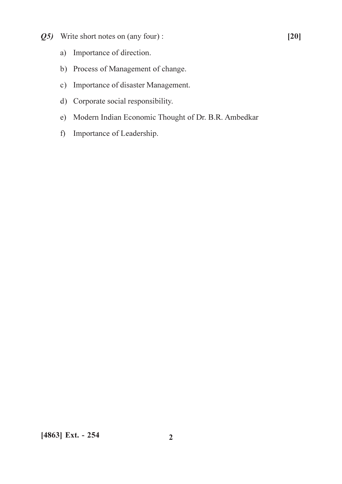- Q5) Write short notes on (any four):
	- a) Importance of direction.
	- b) Process of Management of change.
	- c) Importance of disaster Management.
	- d) Corporate social responsibility.
	- e) Modern Indian Economic Thought of Dr. B.R. Ambedkar
	- f) Importance of Leadership.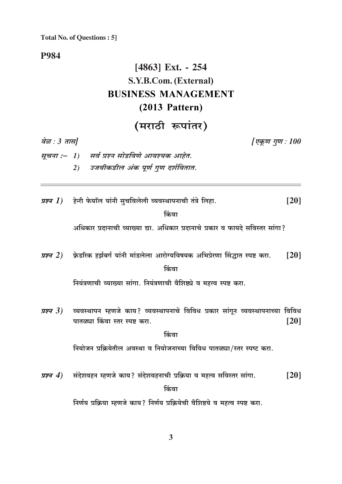## **P984**

# [4863] Ext. - 254 S.Y.B.Com. (External) **BUSINESS MANAGEMENT**  $(2013$  Pattern)

# $\sqrt{m^2 + m^2}$

| $(430 \times 10^{10})$          |                                                                                                                                    |  |
|---------------------------------|------------------------------------------------------------------------------------------------------------------------------------|--|
| वेळ : 3 तास]<br>[एकूण गुण : 100 |                                                                                                                                    |  |
|                                 | सूचना :– 1) सर्व प्रश्न सोडविणे आवश्यक आहेत.                                                                                       |  |
|                                 | उजवीकडील अंक पूर्ण गुण दर्शवितात.<br>2)                                                                                            |  |
|                                 | <i>प्रश्न 1</i> )     हेन्री फेयॉल यांनी सुचविलेली व्यवस्थापनाची तंत्रे लिहा.<br>$\lceil 20 \rceil$                                |  |
|                                 | किंवा                                                                                                                              |  |
|                                 | अधिकार प्रदानाची व्याख्या द्या. अधिकार प्रदानाचे प्रकार व फायदे सविस्तर सांगा?                                                     |  |
| प्रश्न 2)                       | फ्रेडरिक हर्झबर्ग यांनी मांडलेला आरोग्यविषयक अभिप्रेरणा सिंद्धात स्पष्ट करा.<br>$\lceil 20 \rceil$<br>किंवा                        |  |
|                                 | नियंत्रणाची व्याख्या सांगा. नियंत्रणाची वैशिष्ट्ये व महत्व स्पष्ट करा.                                                             |  |
| प्रश्न $3)$                     | ्व्यवस्थापन म्हणजे काय? व्यवस्थापनाचे विविध प्रकार सांगून व्यवस्थापनाच्या विविध<br>पातळ्या किंवा स्तर स्पष्ट करा.<br>[20]<br>किंवा |  |
|                                 | नियोजन प्रक्रियेतील अवस्था व नियोजनाच्या विविध पातळ्या/स्तर स्पष्ट करा.                                                            |  |
| प्रश्न $4)$                     | संदेशवहन म्हणजे काय? संदेशवहनाची प्रक्रिया व महत्व सविस्तर सांगा.<br>$\lceil 20 \rceil$<br>किंवा                                   |  |
|                                 | निर्णय प्रक्रिया म्हणजे काय? निर्णय प्रक्रियेची वैशिष्टये व महत्व स्पष्ट करा.                                                      |  |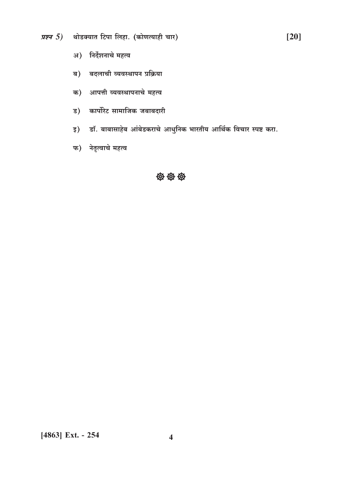- प्रश्न 5) थोडक्यात टिपा लिहा. (कोणत्याही चार)
	- अ) निर्देशनाचे महत्व
	- ब) बदलाची व्यवस्थापन प्रक्रिया
	- क) आपत्ती व्यवस्थापनाचे महत्व
	- ड) कार्पोरेट सामाजिक जबाबदारी
	- इ) डॉ. बाबासाहेब आंबेडकराचे आधुनिक भारतीय आर्थिक विचार स्पष्ट करा.
	- फ) नेतृत्वाचे महत्व

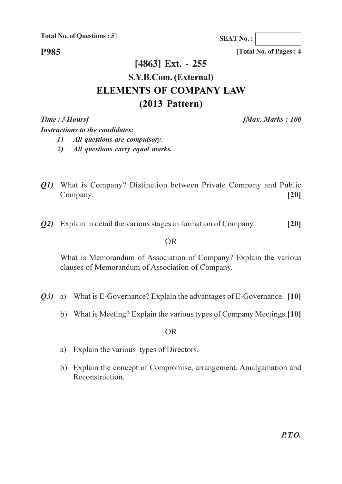**Total No. of Questions: 5]** 

**SEAT No.:** 

**P985** 

[Total No. of Pages: 4]

# [4863] Ext. - 255 S.Y.B.Com. (External) **ELEMENTS OF COMPANY LAW**  $(2013$  Pattern)

Time: 3 Hours] **Instructions to the candidates:** 

[Max. Marks: 100

- All questions are compulsory.  $\mathbf{I}$
- All questions carry equal marks.  $2)$
- *O1*) What is Company? Distinction between Private Company and Public Company.  $[20]$
- *Q2* Explain in detail the various stages in formation of Company.  $[20]$

### **OR**

What is Memorandum of Association of Company? Explain the various clauses of Memorandum of Association of Company.

- $(23)$  a) What is E-Governance? Explain the advantages of E-Governance. [10]
	- b) What is Meeting? Explain the various types of Company Meetings. [10]

### $OR$

- a) Explain the various types of Directors.
- b) Explain the concept of Compromise, arrangement, Amalgamation and Reconstruction.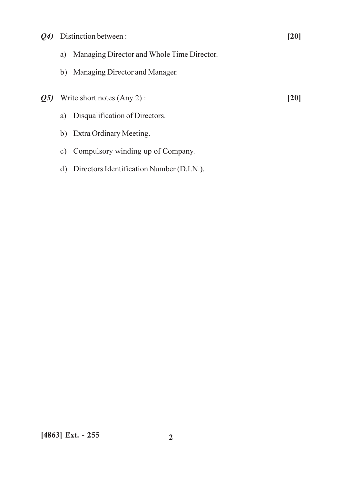- Q4) Distinction between :
	- a) Managing Director and Whole Time Director.
	- b) Managing Director and Manager.
- $Q5$ ) Write short notes (Any 2):
	- a) Disqualification of Directors.
	- b) Extra Ordinary Meeting.
	- c) Compulsory winding up of Company.
	- d) Directors Identification Number (D.I.N.).

 $[20]$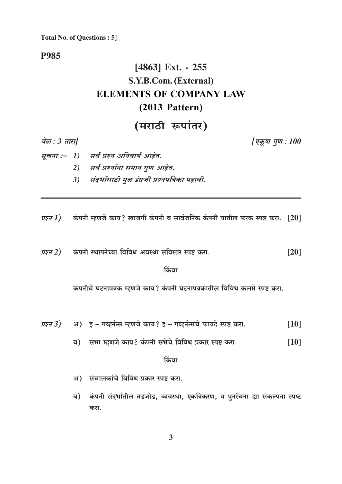### **P985**

# [4863] Ext. - 255 S.Y.B.Com. (External) **ELEMENTS OF COMPANY LAW**  $(2013$  Pattern)

## (मराठी रूपांतर)

वेळ :  $3 \pi \pi l$ 

[एकूण गूण : 100

- सूचना :- 1) सर्व प्रश्न अनिवार्य आहेत. 2) सर्व प्रश्नांना समान गुण आहेत. संदर्भासाठी मूळ इंग्रजी प्रश्नपत्रिका पहावी.  $3)$
- *प्रश्न 1*) कंपनी म्हणजे काय? खाजगी कंपनी व सार्वजनिक कंपनी यातील फरक स्पष्ट करा. [20]

कंपनी स्थापनेच्या विविध अवस्था सविस्तर स्पष्ट करा. प्रश्न 2)  $[20]$ 

#### किंवा

कंपनीचे घटनापत्रक म्हणजे काय? कंपनी घटनापत्रकातील विविध कलमे स्पष्ट करा.

- $\sqrt{1773}$ ) अ) इ गव्हर्नन्स म्हणजे काय? इ गव्हर्नन्सचे फायदे स्पष्ट करा.  $[10]$ 
	- ब) सभा म्हणजे काय? कंपनी सभेचे विविध प्रकार स्पष्ट करा.  $[10]$

किंवा

- अ) संचालकांचे विविध प्रकार स्पष्ट करा.
- कंपनी संदर्भातील तडजोड, व्यवस्था, एकत्रिकरण, व पुनर्रचना ह्या संकल्पना स्पष्ट ब) करा.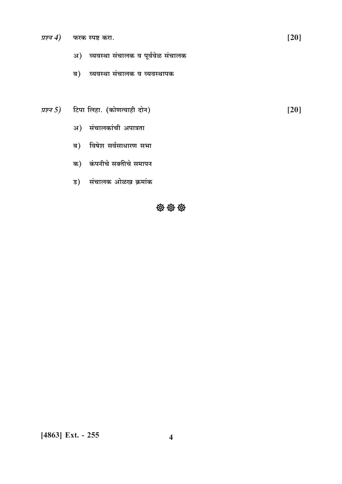- प्रश्न  $4)$  फरक स्पष्ट करा.
	- अ) व्यवस्था संचालक व पूर्ववेळ संचालक
	- ब) व्यवस्था संचालक व व्यवस्थापक
- *प्रश्न 5)* टिपा लिहा. (कोणत्याही दोन)  $[20]$ 
	- अ) संचालकांची अपात्रता
	- ब) विषेश सर्वसाधारण सभा
	- क) कंपनीचे सक्तीचे समापन
	- ड) संचालक ओळख क्रमांक

袋袋袋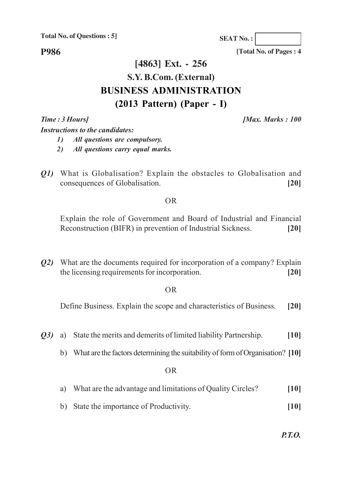**Total No. of Questions : 5]**

**SEAT No. :**

**P986**

**[Total No. of Pages : 4**

## **[4863] Ext. - 256 S.Y. B.Com. (External) BUSINESS ADMINISTRATION (2013 Pattern) (Paper - I)**

*Time : 3 Hours] [Max. Marks : 100*

*Instructions to the candidates:*

- *1) All questions are compulsory.*
- *2) All questions carry equal marks.*
- *Q1)* What is Globalisation? Explain the obstacles to Globalisation and consequences of Globalisation. **[20]**

### OR

Explain the role of Government and Board of Industrial and Financial Reconstruction (BIFR) in prevention of Industrial Sickness. **[20]**

*Q2)* What are the documents required for incorporation of a company? Explain the licensing requirements for incorporation. **[20]**

### OR

Define Business. Explain the scope and characteristics of Business. **[20]**

- *Q3)* a) State the merits and demerits of limited liability Partnership. **[10]**
	- b) What are the factors determining the suitability of form of Organisation? **[10]**

### OR

- a) What are the advantage and limitations of Quality Circles? **[10]**
- b) State the importance of Productivity. **[10]**

*P.T.O.*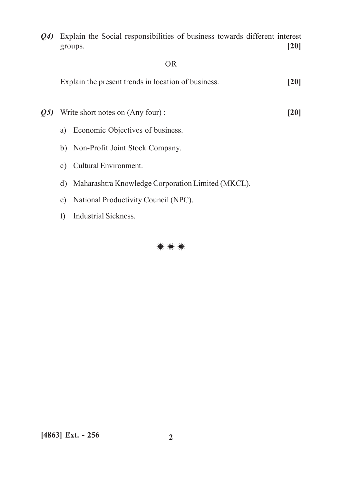*Q4)* Explain the Social responsibilities of business towards different interest groups. **[20]**

#### OR

Explain the present trends in location of business. **[20]**

- *Q5)* Write short notes on (Any four) : **[20]**
	- a) Economic Objectives of business.
	- b) Non-Profit Joint Stock Company.
	- c) Cultural Environment.
	- d) Maharashtra Knowledge Corporation Limited (MKCL).
	- e) National Productivity Council (NPC).
	- f) Industrial Sickness.

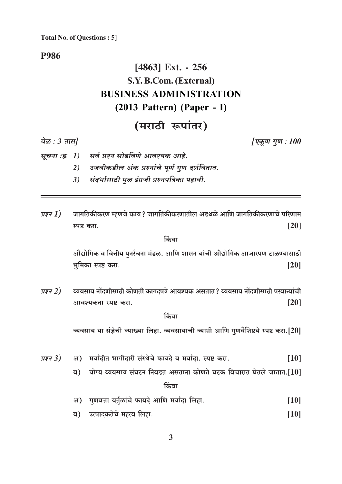**Total No. of Questions: 5]** 

### **P986**

# [4863] Ext. - 256 S.Y. B.Com. (External) **BUSINESS ADMINISTRATION**  $(2013$  Pattern) (Paper - I)

## (मराठी रूपांतर)

वेळ:  $3 \pi \pi l$ 

[एकूण गुण : 100

- सर्व प्रश्न सोडविणे आवश्यक आहे. सूचना :ह्र 1)
	- उजवीकडील अंक प्रश्नांचे पूर्ण गुण दर्शवितात.  $2)$
	- संदर्भासाठी मूळ इंग्रजी प्रश्नपत्रिका पहावी.  $3)$
- जागतिकीकरण म्हणजे काय? जागतिकीकरणातील अडथळे आणि जागतिकीकरणाचे परिणाम प्रश्न  $I$ )  $[20]$ स्पष्ट करा.

#### किंवा

औद्योगिक व वित्तीय पुनर्रचना मंडळ. आणि शासन यांची औद्योगिक आजारपण टाळण्यासाठी भूमिका स्पष्ट करा.  $[20]$ 

व्यवसाय नोंदणीसाठी कोणती कागदपत्रे आवश्यक असतात? व्यवसाय नोंदणीसाठी परवान्यांची प्रश्न  $2)$  $[20]$ आवश्यकता स्पष्ट करा.

किंवा

व्यवसाय या संज्ञेची व्याख्या लिहा. व्यवसायाची व्याप्ती आणि गुणवैशिष्टये स्पष्ट करा. [20]

- अ) मर्यादीत भागीदारी संस्थेचे फायदे व मर्यादा. स्पष्ट करा. प्रश्न $3)$  $[10]$ 
	- योग्य व्यवसाय संघटन निवडत असताना कोणते घटक विचारात घेतले जातात. [10] ब)

किंवा

- अ) गुणवत्ता वर्तळांचे फायदे आणि मर्यादा लिहा.  $[10]$
- ब) उत्पादकतेचे महत्व लिहा.  $[10]$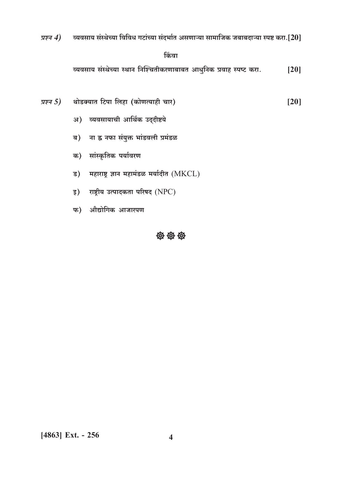- व्यवसाय संस्थेच्या विविध गटांच्या संदर्भात असणाऱ्या सामाजिक जबाबदाऱ्या स्पष्ट करा.[ $\bf 20$ ] प्रश्न  $4)$ किंवा व्यवसाय संस्थेच्या स्थान निश्चितीकरणाबाबत आधुनिक प्रवाह स्पष्ट करा.  $[20]$
- थोडक्यात टिपा लिहा (कोणत्याही चार) प्रश्न  $5)$  $[20]$ 
	- अ) व्यवसायाची आर्थिक उद्दीष्टये
	- ब) ना ह्न नफा संयुक्त भांडवली प्रमंडळ
	- क) सांस्कृतिक पर्यावरण
	- ड) महाराष्ट्र ज्ञान महामंडळ मर्यादीत  $(MKCL)$
	- $\zeta$ ) राष्ट्रीय उत्पादकता परिषद (NPC)
	- फ) औद्योगिक आजारपण

### **密密密**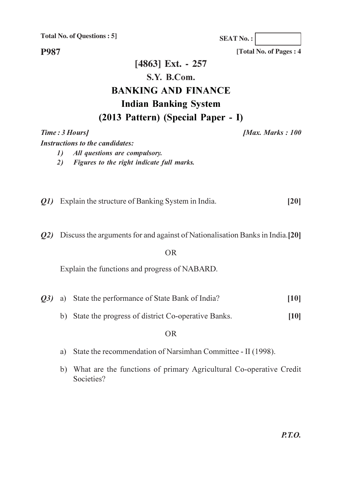**Total No. of Questions: 5]** 

**SEAT No.:** 

[Total No. of Pages: 4]

**P987** 

# [4863] Ext. - 257 S.V. B.Com. **BANKING AND FINANCE Indian Banking System** (2013 Pattern) (Special Paper - I)

Time: 3 Hours]

[Max. Marks: 100

**Instructions to the candidates:** 

- All questions are compulsory.  $\mathbf{I}$
- Figures to the right indicate full marks. 2)
- *Q1*) Explain the structure of Banking System in India.  $[20]$

Q2) Discuss the arguments for and against of Nationalisation Banks in India. [20]

**OR** 

Explain the functions and progress of NABARD.

- (03) a) State the performance of State Bank of India?  $[10]$ 
	- b) State the progress of district Co-operative Banks.  $[10]$

#### **OR**

- a) State the recommendation of Narsimhan Committee II (1998).
- b) What are the functions of primary Agricultural Co-operative Credit Societies?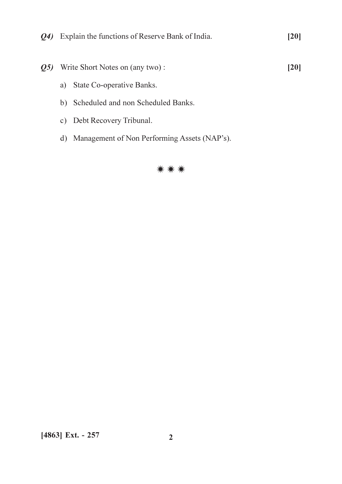|  | $Q_4$ ) Explain the functions of Reserve Bank of India. | $\bm{[20]}$ |
|--|---------------------------------------------------------|-------------|
|--|---------------------------------------------------------|-------------|

 $[20]$ 

- Q5) Write Short Notes on (any two):
	- a) State Co-operative Banks.
	- b) Scheduled and non Scheduled Banks.
	- c) Debt Recovery Tribunal.
	- d) Management of Non Performing Assets (NAP's).

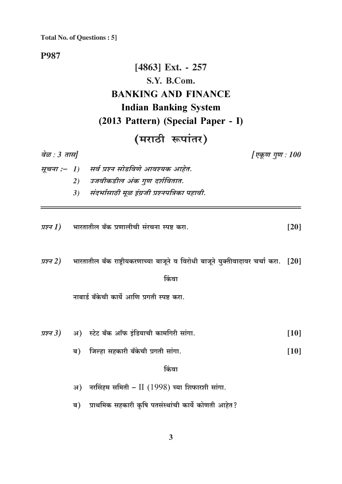**Total No. of Questions : 5]**

**P987**

# **[4863] Ext. - 257 S.Y. B.Com. BANKING AND FINANCE Indian Banking System** (2013 Pattern) (Special Paper - I) (मराठी रूपांतर)

| वेळ : 3 तास] |       |                                                                                                                                                                                                                                                                                                                                                         |
|--------------|-------|---------------------------------------------------------------------------------------------------------------------------------------------------------------------------------------------------------------------------------------------------------------------------------------------------------------------------------------------------------|
|              |       |                                                                                                                                                                                                                                                                                                                                                         |
| 2)           |       |                                                                                                                                                                                                                                                                                                                                                         |
| 3)           |       |                                                                                                                                                                                                                                                                                                                                                         |
|              |       | [20]                                                                                                                                                                                                                                                                                                                                                    |
|              |       |                                                                                                                                                                                                                                                                                                                                                         |
|              | किंवा |                                                                                                                                                                                                                                                                                                                                                         |
|              |       |                                                                                                                                                                                                                                                                                                                                                         |
|              |       | एकूण गुण : 100<br>सूचना :- 1) सर्व प्रश्न सोडविणे आवश्यक आहेत.<br>उजवीकडील अंक गुण दर्शवितात.<br>संदर्भासाठी मूळ इंग्रजी प्रश्नपत्रिका पहावी.<br>भारतातील बँक प्रणालीची संरचना स्पष्ट करा.<br><i>प्रश्न</i> 2)     भारतातील बँक राष्ट्रीयकरणाच्या बाजूने व विरोधी बाजूने युक्तीवादावर चर्चा करा.   [20]<br>नाबार्ड बँकेची कार्ये आणि प्रगती स्पष्ट करा. |

|  | <i>प्रश्न 3)</i> अ) स्टेट बँक ऑफ इंडियाची कामगिरी सांगा.          | $\lceil 10 \rceil$ |
|--|-------------------------------------------------------------------|--------------------|
|  | ब) जिल्हा सहकारी बँकेची प्रगती सांगा.                             | $[10]$             |
|  | किंवा                                                             |                    |
|  | $\sigma$ ) नरसिंहम समिती – $\text{II}$ (1998) च्या शिफारशी सांगा. |                    |
|  |                                                                   |                    |

ब) प्राथमिक सहकारी कृषि पतसंस्थांची कार्ये कोणती आहेत?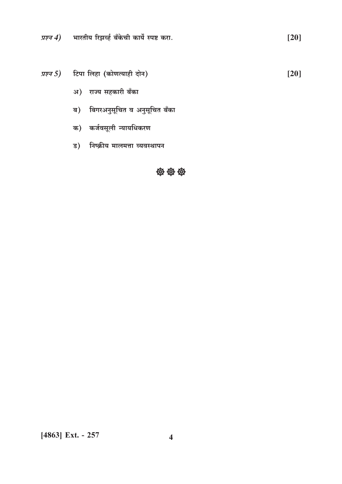प्रश्न 4) भारतीय रिझर्व्ह बँकेची कार्ये स्पष्ट करा.

#### प्रश्न 5) टिपा लिहा (कोणत्याही दोन)  $[20]$

- अ) राज्य सहकारी बँका
- ब) बिगरअनुसूचित व अनुसूचित बँका
- क) कर्जवसूली न्यायधिकरण
- ड) निष्क्रीय मालमत्ता व्यवस्थापन

### 密密密

 $[20]$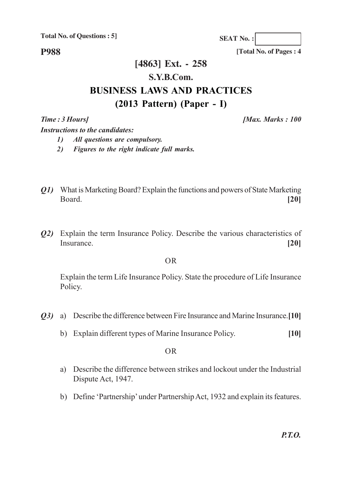**Total No. of Questions : 5]**

**SEAT No. :**

**P988**

# **[4863] Ext. - 258 S.Y.B.Com. BUSINESS LAWS AND PRACTICES**

## **(2013 Pattern) (Paper - I)**

*Time : 3 Hours] [Max. Marks : 100*

**[Total No. of Pages : 4**

*Instructions to the candidates:*

*1) All questions are compulsory.*

*2) Figures to the right indicate full marks.*

- *Q1)* What is Marketing Board? Explain the functions and powers of State Marketing Board. **[20]**
- *Q2)* Explain the term Insurance Policy. Describe the various characteristics of Insurance. **[20]**

### OR

Explain the term Life Insurance Policy. State the procedure of Life Insurance Policy.

- *Q3)* a) Describe the difference between Fire Insurance and Marine Insurance.**[10]**
	- b) Explain different types of Marine Insurance Policy. **[10]**

### OR

- a) Describe the difference between strikes and lockout under the Industrial Dispute Act, 1947.
- b) Define 'Partnership' under Partnership Act, 1932 and explain its features.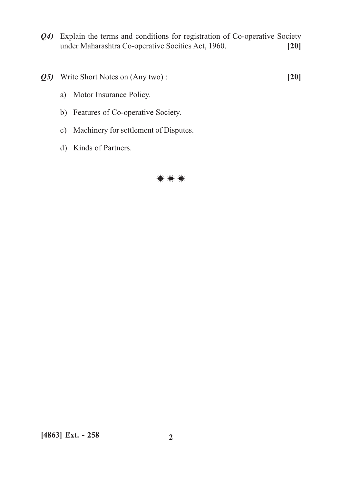Q4) Explain the terms and conditions for registration of Co-operative Society under Maharashtra Co-operative Socities Act, 1960.  $[20]$ 

 $[20]$ 

- Q5) Write Short Notes on (Any two):
	- a) Motor Insurance Policy.
	- b) Features of Co-operative Society.
	- c) Machinery for settlement of Disputes.
	- d) Kinds of Partners.

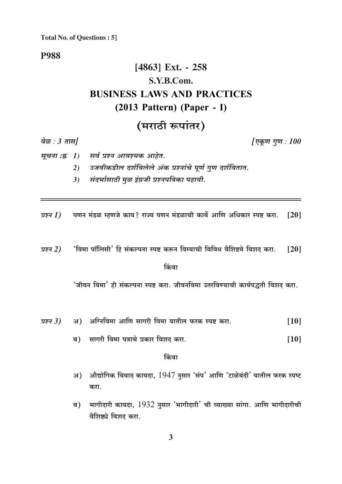**Total No. of Questions: 5]** 

### **P988**

# $[4863]$  Ext. - 258 S.Y.B.Com. **BUSINESS LAWS AND PRACTICES**  $(2013$  Pattern) (Paper - I)

## (मराठी रूपांतर)

वेळ:  $3 \pi \pi l$ 

[एकूण गुण : 100

सर्व प्रश्न आवश्यक आहेत. सूचना :ह्र 1)

> उजवीकडील दर्शविलेले अंक प्रश्नांचे पूर्ण गुण दर्शवितात.  $2)$

संदर्भासाठी मळ डंग्रजी प्रश्नपत्रिका पहावी.  $3)$ 

पणन मंडळ म्हणजे काय? राज्य पणन मंडळाची कार्ये आणि अधिकार स्पष्ट करा. [20] प्रश्न  $1)$ 

'विमा पॉलिसी' हि संकल्पना स्पष्ट करून विम्याची विविध वैशिष्टये विशद करा. प्रश्न  $2)$  $[20]$ 

किंवा

'जीवन विमा' ही संकल्पना स्पष्ट करा. जीवनविमा उतरविण्याची कार्यपद्धती विशद करा.

- अ) अग्निविमा आणि सागरी विमा यातील फरक स्पष्ट करा. प्रश्न $(3)$  $[10]$ 
	- ब) सागरी विमा पत्राचे प्रकार विशद करा.  $[10]$

किंवा

- $\sigma$ ) औद्योगिक विवाद कायदा,  $1947$  नुसार 'संप' आणि 'टाळेबंदी' यातील फरक स्पष्ट करा.
- भागीदारी कायदा, 1932 नुसार 'भागीदारी' ची व्याख्या सांगा. आणि भागीदारीची ब) वैशिष्ट्ये विशद करा.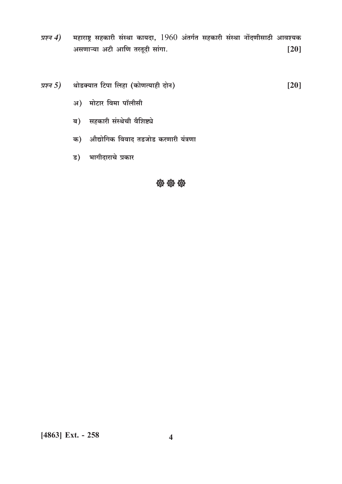- प्रश्न  $4)$ महाराष्ट्र सहकारी संस्था कायदा, 1960 अंतर्गत सहकारी संस्था नोंदणीसाठी आवश्यक असणाऱ्या अटी आणि तरतूदी सांगा.  $[20]$
- थोडक्यात टिपा लिहा (कोणत्याही दोन) प्रश्न  $5)$  $[20]$ 
	- अ) मोटार विमा पॉलीसी
	- ब) सहकारी संस्थेची वैशिष्ट्ये
	- क) औद्योगिक विवाद तडजोड करणारी यंत्रणा
	- ड) भागीदाराचे प्रकार

### **数盘盘**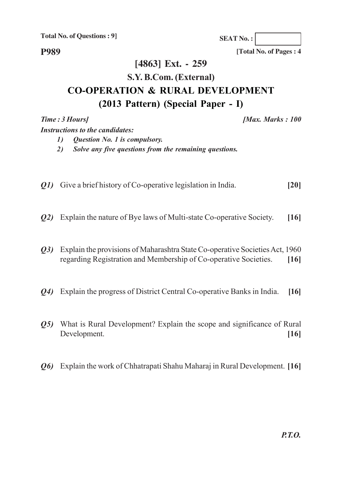**Total No. of Questions : 9]**

**SEAT No. :**

**P989**

**[Total No. of Pages : 4**

## **[4863] Ext. - 259**

## **S.Y. B.Com. (External) CO-OPERATION & RURAL DEVELOPMENT**

## **(2013 Pattern) (Special Paper - I)**

| Time: 3 Hours]                         | [Max. Marks: 100] |
|----------------------------------------|-------------------|
| <b>Instructions to the candidates:</b> |                   |

*1) Question No. 1 is compulsory.*

*2) Solve any five questions from the remaining questions.*

- *Q1)* Give a brief history of Co-operative legislation in India. **[20]**
- *Q2)* Explain the nature of Bye laws of Multi-state Co-operative Society. **[16]**
- *Q3)* Explain the provisions of Maharashtra State Co-operative Societies Act, 1960 regarding Registration and Membership of Co-operative Societies. **[16]**
- *Q4)* Explain the progress of District Central Co-operative Banks in India. **[16]**
- *Q5)* What is Rural Development? Explain the scope and significance of Rural Development. **[16]**
- *Q6)* Explain the work of Chhatrapati Shahu Maharaj in Rural Development. **[16]**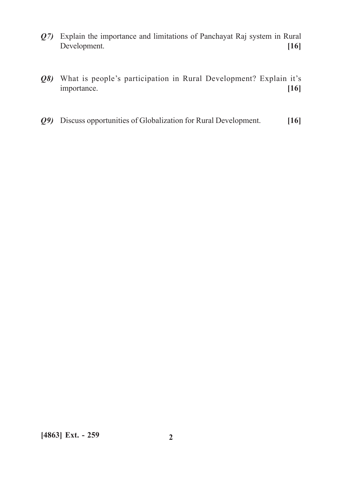- *Q7)* Explain the importance and limitations of Panchayat Raj system in Rural Development. **[16]**
- *Q8)* What is people's participation in Rural Development? Explain it's importance. **[16]**
- *Q9)* Discuss opportunities of Globalization for Rural Development. **[16]**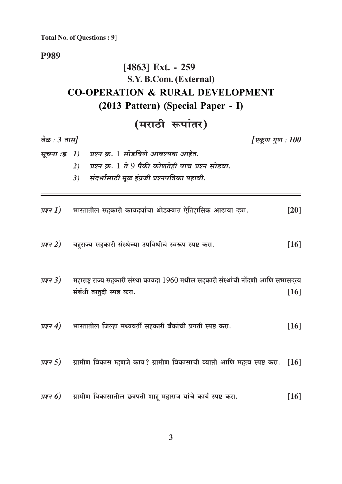### **P989**

# [4863] Ext. - 259 S.Y. B.Com. (External) **CO-OPERATION & RURAL DEVELOPMENT** (2013 Pattern) (Special Paper - I)

# $(\pi \eta \hat{\sigma})$   $\hat{\pi}$

| वेळ : $3 \pi \mathcal{H}$ |    |                                                                                                                  | [एकूण गुण : 100 |
|---------------------------|----|------------------------------------------------------------------------------------------------------------------|-----------------|
| सूचना :ह्र    1)          |    | प्रश्न क्र. 1 सोडविणे आवश्यक आहेत.                                                                               |                 |
|                           | 2) | प्रश्न क्र. 1 ते 9 पैकी कोणतेही पाच प्रश्न सोडवा.                                                                |                 |
|                           | 3) | संदर्भासाठी मूळ इंग्रजी प्रश्नपत्रिका पहावी.                                                                     |                 |
|                           |    | <i>प्रश्न <math>\bm{I})</math></i> भारतातील सहकारी कायद्यांचा थोडक्यात ऐतिहासिक आढावा द्या.                      | $[20]$          |
|                           |    | <i>प्रश्न 2)</i> बहराज्य सहकारी संस्थेच्या उपविधीचे स्वरूप स्पष्ट करा.                                           | $[16]$          |
| प्रश्न $3)$               |    | महाराष्ट्र राज्य सहकारी संस्था कायदा 1960 मधील सहकारी संस्थांची नोंदणी आणि सभासदत्व<br>संबंधी तरतुदी स्पष्ट करा. | $[16]$          |
|                           |    |                                                                                                                  |                 |
|                           |    | <i>प्रश्न 4</i> ) भारतातील जिल्हा मध्यवर्ती सहकारी बँकांची प्रगती स्पष्ट करा.                                    | $[16]$          |
|                           |    | <i>प्रश्न 5)</i> ग्रामीण विकास म्हणजे काय? ग्रामीण विकासाची व्याप्ती आणि महत्व स्पष्ट करा.                       | $[16]$          |
| प्रश्न $6)$               |    | ग्रामीण विकासातील छत्रपती शाहू महाराज यांचे कार्य स्पष्ट करा.                                                    | $[16]$          |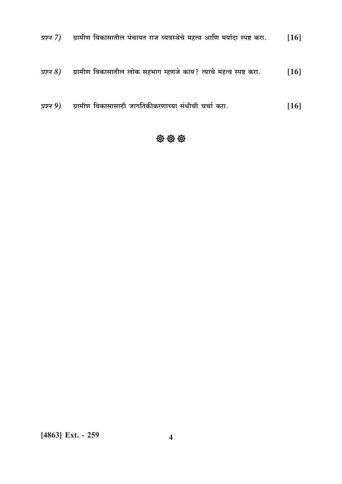- प्रश्न 7) प्रामीण विकासातील पंचायत राज व्यवस्थेचे महत्व आणि मर्यादा स्पष्ट करा.  $[16]$
- प्रश्न  $8$ ) प्रामीण विकासातील लोक सहभाग म्हणजे काय? त्याचे महत्व स्पष्ट करा.  $[16]$
- *प्रश्न 9*) ग्रामीण विकासासाठी जागतिकीकरणाच्या संधीची चर्चा करा.  $[16]$

#### **密密密**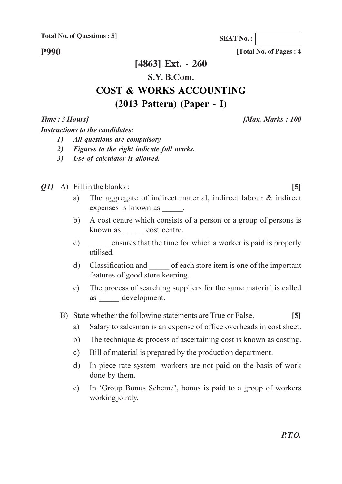**Total No. of Questions: 5]** 

**SEAT No.:** 

**P990** 

## [4863] Ext. - 260

### S.Y. B.Com.

## **COST & WORKS ACCOUNTING**

### $(2013$  Pattern) (Paper - I)

Time: 3 Hours]

**Instructions to the candidates:** 

[Max. Marks: 100

- $I$ All questions are compulsory.
- $2)$ Figures to the right indicate full marks.
- Use of calculator is allowed.  $3)$
- $Q1)$  A) Fill in the blanks:
	- The aggregate of indirect material, indirect labour & indirect a) expenses is known as .
	- A cost centre which consists of a person or a group of persons is  $b)$ known as cost centre.
	- ensures that the time for which a worker is paid is properly  $c)$ utilised.
	- Classification and of each store item is one of the important  $\mathbf{d}$ features of good store keeping.
	- The process of searching suppliers for the same material is called  $e)$ as development.
	- B) State whether the following statements are True or False.  $\overline{5}$ 
		- Salary to salesman is an expense of office overheads in cost sheet. a)
		- The technique  $\&$  process of ascertaining cost is known as costing.  $b)$
		- Bill of material is prepared by the production department.  $c)$
		- In piece rate system workers are not paid on the basis of work  $\mathbf{d}$ done by them.
		- In 'Group Bonus Scheme', bonus is paid to a group of workers  $e)$ working jointly.

 $\left[5\right]$ 

[Total No. of Pages: 4]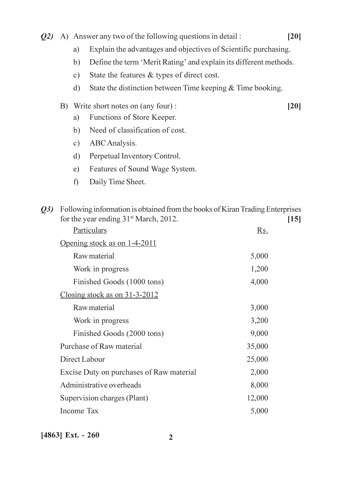### (22) A) Answer any two of the following questions in detail:

Explain the advantages and objectives of Scientific purchasing. a)

 $[20]$ 

 $[20]$ 

- Define the term 'Merit Rating' and explain its different methods.  $b)$
- State the features & types of direct cost.  $c)$
- State the distinction between Time keeping  $&$  Time booking.  $\mathbf{d}$

### B) Write short notes on (any four):

- Functions of Store Keeper. a)
- $b)$ Need of classification of cost.
- c) ABC Analysis.
- $\mathbf{d}$ Perpetual Inventory Control.
- $e)$ Features of Sound Wage System.
- $f$ Daily Time Sheet.

| Q3) | Following information is obtained from the books of Kiran Trading Enterprises |            |  |  |
|-----|-------------------------------------------------------------------------------|------------|--|--|
|     | for the year ending 31 <sup>st</sup> March, 2012.                             | $[15]$     |  |  |
|     | Particulars                                                                   | <u>Rs.</u> |  |  |
|     | Opening stock as on 1-4-2011                                                  |            |  |  |
|     | Raw material                                                                  | 5,000      |  |  |
|     | Work in progress                                                              | 1,200      |  |  |
|     | Finished Goods (1000 tons)                                                    | 4,000      |  |  |
|     | Closing stock as on $31-3-2012$                                               |            |  |  |
|     | Raw material                                                                  | 3,000      |  |  |
|     | Work in progress                                                              | 3,200      |  |  |
|     | Finished Goods (2000 tons)                                                    | 9,000      |  |  |
|     | Purchase of Raw material                                                      | 35,000     |  |  |
|     | Direct Labour                                                                 | 25,000     |  |  |
|     | Excise Duty on purchases of Raw material                                      | 2,000      |  |  |
|     | Administrative overheads                                                      | 8,000      |  |  |
|     | Supervision charges (Plant)                                                   | 12,000     |  |  |
|     | Income Tax                                                                    | 5,000      |  |  |

[4863] Ext. - 260

 $\overline{2}$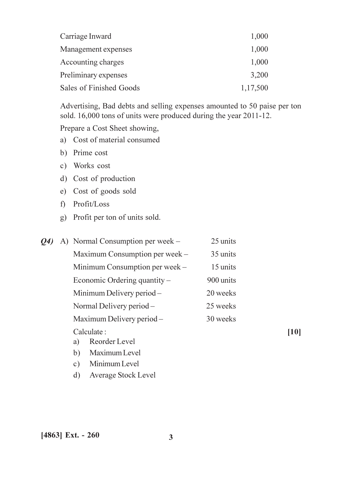| Carriage Inward                | 1,000    |
|--------------------------------|----------|
| Management expenses            | 1,000    |
| Accounting charges             | 1,000    |
| Preliminary expenses           | 3,200    |
| <b>Sales of Finished Goods</b> | 1,17,500 |

Advertising, Bad debts and selling expenses amounted to 50 paise per ton sold. 16,000 tons of units were produced during the year 2011-12.

Prepare a Cost Sheet showing,

- a) Cost of material consumed
- b) Prime cost
- c) Works cost
- d) Cost of production
- e) Cost of goods sold
- f) Profit/Loss
- g) Profit per ton of units sold.

b) Maximum Level c) Minimum Level

d) Average Stock Level

| <b>O4</b> | A) Normal Consumption per week $-$ | 25 units  |
|-----------|------------------------------------|-----------|
|           | Maximum Consumption per week –     | 35 units  |
|           | Minimum Consumption per week –     | 15 units  |
|           | Economic Ordering quantity $-$     | 900 units |
|           | Minimum Delivery period –          | 20 weeks  |
|           | Normal Delivery period –           | 25 weeks  |
|           | Maximum Delivery period-           | 30 weeks  |
|           | Calculate:                         |           |
|           | Reorder Level<br>a)                |           |

 $[10]$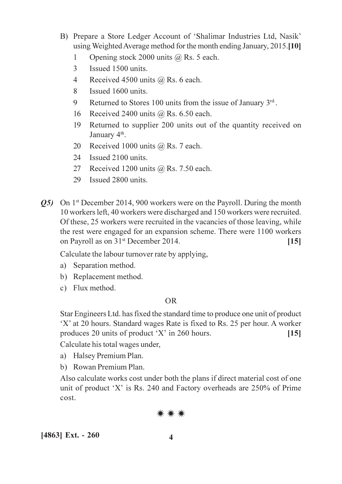- B) Prepare a Store Ledger Account of 'Shalimar Industries Ltd, Nasik' using Weighted Average method for the month ending January, 2015.[10]
	- Opening stock 2000 units  $\omega$  Rs. 5 each.  $\mathbf{1}$
	- $\overline{3}$ Issued 1500 units.
	- $\overline{4}$ Received 4500 units  $\omega$  Rs. 6 each.
	- $\mathsf{R}$ Issued 1600 units.
	- $\overline{9}$ Returned to Stores 100 units from the issue of January 3rd.
	- Received 2400 units @ Rs. 6.50 each.  $16$
	- $19$ Returned to supplier 200 units out of the quantity received on January 4<sup>th</sup>.
	- Received 1000 units @ Rs. 7 each. 20
	- 24 Issued 2100 units.
	- 27 Received 1200 units @ Rs. 7.50 each.
	- 29 Issued 2800 units.
- *Q5*) On 1<sup>st</sup> December 2014, 900 workers were on the Payroll. During the month 10 workers left, 40 workers were discharged and 150 workers were recruited. Of these, 25 workers were recruited in the vacancies of those leaving, while the rest were engaged for an expansion scheme. There were 1100 workers on Payroll as on 31<sup>st</sup> December 2014.  $[15]$

Calculate the labour turnover rate by applying,

- a) Separation method.
- b) Replacement method.
- c) Flux method.

### $OR$

Star Engineers Ltd. has fixed the standard time to produce one unit of product 'X' at 20 hours. Standard wages Rate is fixed to Rs. 25 per hour. A worker produces 20 units of product 'X' in 260 hours.  $[15]$ 

Calculate his total wages under,

- a) Halsey Premium Plan.
- b) Rowan Premium Plan.

Also calculate works cost under both the plans if direct material cost of one unit of product 'X' is Rs. 240 and Factory overheads are 250% of Prime cost.

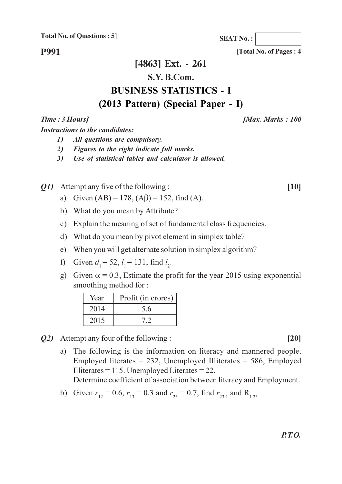**Total No. of Questions: 5]** 

[Total No. of Pages: 4]

**SEAT No.:** 

**P991** 

### [4863] Ext. - 261

### S.Y. B.Com.

## **BUSINESS STATISTICS - I**

### $(2013$  Pattern) (Special Paper - I)

Time: 3 Hours]

**Instructions to the candidates:** 

- $\mathbf{I}$ All questions are compulsory.
- $2)$ Figures to the right indicate full marks.
- Use of statistical tables and calculator is allowed.  $3)$
- *Q1*) Attempt any five of the following:
	- a) Given  $(AB) = 178$ ,  $(A\beta) = 152$ , find  $(A)$ .
	- b) What do you mean by Attribute?
	- c) Explain the meaning of set of fundamental class frequencies.
	- d) What do you mean by pivot element in simplex table?
	- e) When you will get alternate solution in simplex algorithm?
	- f) Given  $d_1 = 52$ ,  $l_1 = 131$ , find  $l_2$ .
	- g) Given  $\alpha$  = 0.3, Estimate the profit for the year 2015 using exponential smoothing method for :

| Year | Profit (in crores) |
|------|--------------------|
| 2014 | 5.6                |
| 2015 |                    |

- Q2) Attempt any four of the following:
	- a) The following is the information on literacy and mannered people. Employed literates =  $232$ , Unemployed Illiterates =  $586$ , Employed Illiterates = 115. Unemployed Literates = 22.

Determine coefficient of association between literacy and Employment.

b) Given  $r_{12} = 0.6$ ,  $r_{13} = 0.3$  and  $r_{23} = 0.7$ , find  $r_{23}$  and R<sub>123</sub>

[Max. Marks: 100

 $[10]$ 

 $\lceil 20 \rceil$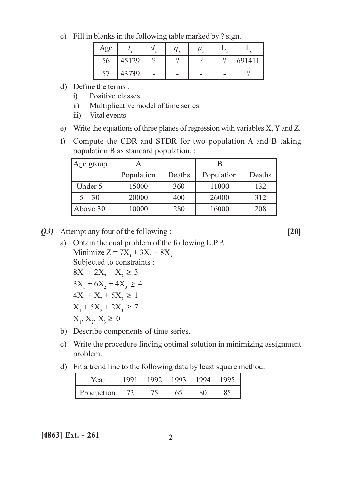c) Fill in blanks in the following table marked by ? sign.

| Age |       | $\boldsymbol{\mathcal{U}}$ | ч<br>1 x | $\mathcal{X}$ |   |        |
|-----|-------|----------------------------|----------|---------------|---|--------|
| 56  | 45129 |                            |          |               |   | 691411 |
| 57  | 43739 | -                          | -        | -             | - |        |

- d) Define the terms:
	- Positive classes  $i)$
	- Multiplicative model of time series  $\ddot{i}$
	- iii) Vital events
- e) Write the equations of three planes of regression with variables X, Y and Z.
- f) Compute the CDR and STDR for two population A and B taking population B as standard population. :

| Age group |            |        |            |        |
|-----------|------------|--------|------------|--------|
|           | Population | Deaths | Population | Deaths |
| Under 5   | 15000      | 360    | 11000      | 132    |
| $5 - 30$  | 20000      | 400    | 26000      | 312    |
| Above 30  | 10000      | 280    | 16000      | 208    |

- *Q3*) Attempt any four of the following:
	- a) Obtain the dual problem of the following L.P.P. Minimize  $Z = 7X_1 + 3X_2 + 8X_3$ Subjected to constraints :  $8X_1 + 2X_2 + X_3 \geq 3$  $3X_1 + 6X_2 + 4X_3 \ge 4$  $4X_1 + X_2 + 5X_3 \ge 1$  $X_1 + 5X_2 + 2X_3 \ge 7$  $X_1, X_2, X_3 \geq 0$
	- b) Describe components of time series.
	- c) Write the procedure finding optimal solution in minimizing assignment problem.
	- d) Fit a trend line to the following data by least square method.

| Year       | 1991 | 1997   | 1993 | 1 QQ $\varDelta$ |                    |
|------------|------|--------|------|------------------|--------------------|
| Production |      | .<br>. | 65   |                  | つく<br>$\mathbf{O}$ |

 $[20]$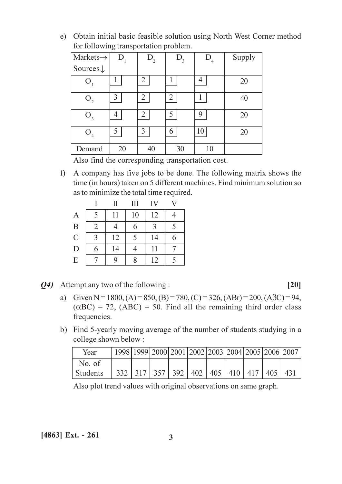e) Obtain initial basic feasible solution using North West Corner method for following transportation problem.

| $Markets \rightarrow$        | $D_1$ | $\rm D_{_2}$   | $D_{3}$ | ן ו<br>$\overline{4}$ | Supply |
|------------------------------|-------|----------------|---------|-----------------------|--------|
| Sources $\downarrow$         |       |                |         |                       |        |
|                              |       | 2              |         | 4                     | 20     |
| $\overline{\mathsf{U}}_2$    | 3     | ◠<br>∠         | ◠       |                       | 40     |
| $\overline{\mathsf{O}}_{_3}$ | 4     | $\overline{2}$ | 5       | 9                     | 20     |
| $\rm O^{}_{4}$               |       | 3              | h       | 10                    | 20     |
| Demand                       | 20    | 40             | 30      | 10                    |        |

Also find the corresponding transportation cost.

f) A company has five jobs to be done. The following matrix shows the time (in hours) taken on 5 different machines. Find minimum solution so as to minimize the total time required.

|               |                | $\prod$ | Ш  | IV           |   |
|---------------|----------------|---------|----|--------------|---|
| $\mathbf{A}$  |                | 11      | 10 | 12           |   |
| $\mathbf B$   | $\overline{2}$ |         | 6  | $\mathbf{c}$ |   |
| $\mathcal{C}$ | 3              | 12      |    | 14           | 6 |
| D             | 6              | 14      |    | 11           |   |
| E             |                | 9       | 8  | 12           |   |

- Q4) Attempt any two of the following:
	- a) Given N = 1800, (A) = 850, (B) = 780, (C) = 326, (ABr) = 200, (ABC) = 94,  $(\alpha BC) = 72$ ,  $(ABC) = 50$ . Find all the remaining third order class frequencies.
	- b) Find 5-yearly moving average of the number of students studying in a college shown below:

| Year     |  |                                                     |  |  |  | 1998 1999 2000 2001 2002 2003 2004 2005 2006 2007 |
|----------|--|-----------------------------------------------------|--|--|--|---------------------------------------------------|
| No. of   |  |                                                     |  |  |  |                                                   |
| Students |  | 332   317   357   392   402   405   410   417   405 |  |  |  | 431                                               |

Also plot trend values with original observations on same graph.

 $[20]$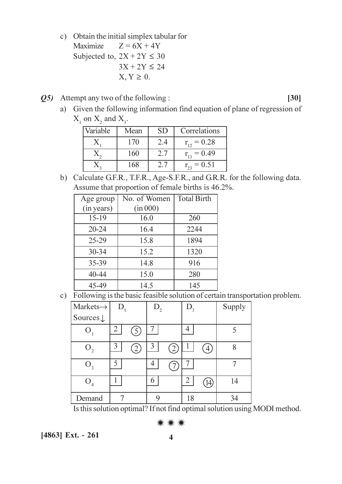- c) Obtain the initial simplex tabular for Maximize  $Z = 6X + 4Y$ Subjected to,  $2X + 2Y \le 30$  $3X + 2Y \le 24$  $X, Y \geq 0$ .
- Q5) Attempt any two of the following:
	- a) Given the following information find equation of plane of regression of  $X_1$  on  $X_2$  and  $X_3$ .

| Variable | Mean | <b>SD</b> | Correlations    |
|----------|------|-----------|-----------------|
|          | 170  | 2.4       | $r_{12} = 0.28$ |
|          | 160  | 2.7       | $r_{13} = 0.49$ |
|          | 168  |           | $= 0.51$        |

b) Calculate G.F.R., T.F.R., Age-S.F.R., and G.R.R. for the following data. Assume that proportion of female births is 46.2%.

| Age group  | No. of Women | <b>Total Birth</b> |
|------------|--------------|--------------------|
| (in years) | (in 000)     |                    |
| $15-19$    | 16.0         | 260                |
| $20 - 24$  | 16.4         | 2244               |
| 25-29      | 15.8         | 1894               |
| $30 - 34$  | 15.2         | 1320               |
| 35-39      | 14.8         | 916                |
| 40-44      | 15.0         | 280                |
| 45-49      | 14.5         | 145                |

c) Following is the basic feasible solution of certain transportation problem.

| $Markets \rightarrow$       | $D_{1}$ |                          | $D_{2}$ | $D_{\overline{3}}$ | Supply |
|-----------------------------|---------|--------------------------|---------|--------------------|--------|
| Sources↓                    |         |                          |         |                    |        |
| O <sub>1</sub>              | 2       |                          |         | 4                  | 5      |
| $\boldsymbol{\mathsf{U}}_2$ |         | $\overline{\phantom{a}}$ | 3       |                    | 8      |
| $O_{3}$                     | 5       |                          |         |                    |        |
| O <sub>4</sub>              |         |                          | 6       | ว                  | 14     |
| Demand                      |         |                          | g       | 18                 | 34     |

Is this solution optimal? If not find optimal solution using MODI method.

### 

[4863] Ext. - 261

 $[30]$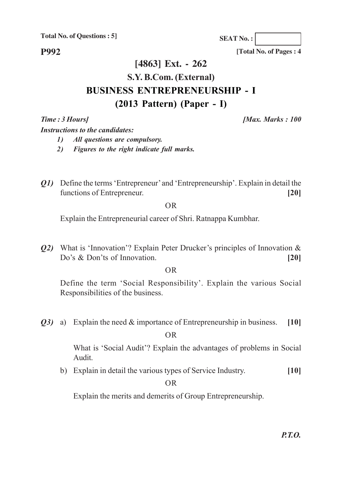**Total No. of Questions : 5]**

**SEAT No. :**

**P992**

**[4863] Ext. - 262**

# **S.Y. B.Com. (External) BUSINESS ENTREPRENEURSHIP - I (2013 Pattern) (Paper - I)**

*Time : 3 Hours] [Max. Marks : 100*

**[Total No. of Pages : 4**

*Instructions to the candidates:*

*1) All questions are compulsory.*

*2) Figures to the right indicate full marks.*

*Q1)* Define the terms 'Entrepreneur' and 'Entrepreneurship'. Explain in detail the functions of Entrepreneur. **[20]**

OR

Explain the Entrepreneurial career of Shri. Ratnappa Kumbhar.

*Q2*) What is 'Innovation'? Explain Peter Drucker's principles of Innovation & Do's & Don'ts of Innovation. **[20]**

OR

Define the term 'Social Responsibility'. Explain the various Social Responsibilities of the business.

*Q3)* a) Explain the need & importance of Entrepreneurship in business. **[10]**

OR

What is 'Social Audit'? Explain the advantages of problems in Social Audit.

b) Explain in detail the various types of Service Industry. **[10]**

OR

Explain the merits and demerits of Group Entrepreneurship.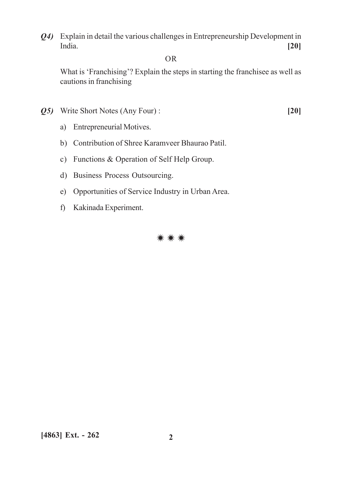Q4) Explain in detail the various challenges in Entrepreneurship Development in India.  $[20]$ 

#### **OR**

What is 'Franchising'? Explain the steps in starting the franchisee as well as cautions in franchising

- Q5) Write Short Notes (Any Four):
	- a) Entrepreneurial Motives.
	- b) Contribution of Shree Karamveer Bhaurao Patil.
	- c) Functions & Operation of Self Help Group.
	- d) Business Process Outsourcing.
	- e) Opportunities of Service Industry in Urban Area.
	- f) Kakinada Experiment.



 $[20]$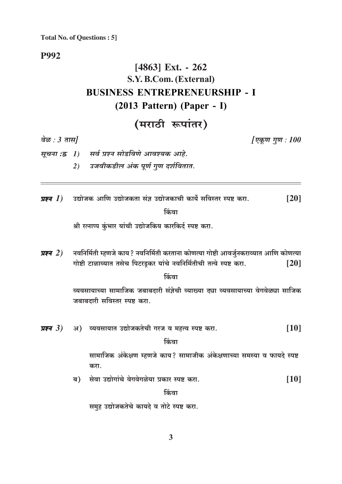### **P992**

# [4863] Ext. - 262 S.Y. B.Com. (External) **BUSINESS ENTREPRENEURSHIP - I**  $(2013$  Pattern) (Paper - I)

# (मराठी रूपांतर)

वेळ:  $3 \pi \pi l$ 

[एकुण गुण :  $100$ 

सूचना :ह्र 1) सर्व प्रश्न सोडविणे आवश्यक आहे.

- उजवीकडील अंक पूर्ण गुण दर्शवितात.  $2)$
- प्रश्न  $\bm{I}$ ) उद्योजक आणि उद्योजकता संज्ञ उद्योजकाची कार्ये सविस्तर स्पष्ट करा.  $[20]$ किंवा

श्री रत्नाप्प कुंभार यांची उद्योजकिय कारकिर्द स्पष्ट करा.

नवनिर्मिती म्हणजे काय? नवनिर्मिती करताना कोणत्या गोष्टी आवर्जुनकराव्यात आणि कोणत्या प्रश्न $(2)$ गोष्टी टाळाव्यात तसेच पिटरड़कर यांचे नवनिर्मितीची तत्वे स्पष्ट करा.  $\lceil 20 \rceil$ 

किंवा

व्यवसायाच्या सामाजिक जबाबदारी संज्ञेची व्याख्या द्या व्यवसायाच्या वेगवेळ्या साजिक जबाबदारी सविस्तर स्पष्ट करा.

प्रश्न $3)$ अ) व्यवसायात उद्योजकतेची गरज व महत्व स्पष्ट करा.  $[10]$ 

किंवा

सामाजिक अंकेक्षण म्हणजे काय? सामाजीक अंकेक्षणाच्या समस्या व फायदे स्पष्ट करा.

ब) सेवा उद्योगांचे वेगवेगळेया प्रकार स्पष्ट करा.  $[10]$ 

किंवा

समूह उद्योजकतेचे कायदे व तोटे स्पष्ट करा.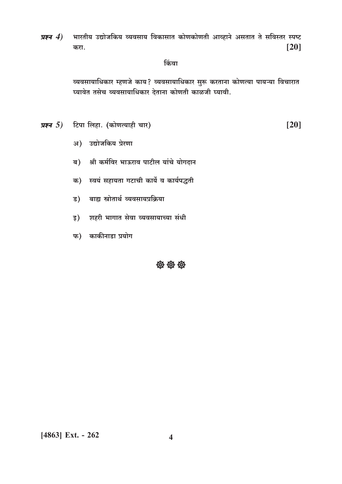भारतीय उद्योजकिय व्यवसाय विकासात कोणकोणती आव्हाने असतात ते सविस्तर स्पष्ट प्रश्न $(4)$  $\lceil 20 \rceil$ करा.

#### किंवा

व्यवसायाधिकार म्हणजे काय? व्यवसायाधिकार सुरू करताना कोणत्या पायऱ्या विचारात घ्यावेत तसेच व्यवसायाधिकार देताना कोणती काळजी घ्यावी.

प्रश्न  $5$ ) टिपा लिहा. (कोणत्याही चार)

 $\lceil 20 \rceil$ 

- अ) उद्योजकिय प्रेरणा
- श्री कर्मविर भाऊराव पाटील यांचे योगदान ब)
- क) स्वयं सहायता गटाची कार्ये व कार्यपद्धती
- ड) बाह्य स्त्रोतार्थ व्यवसायप्रक्रिया
- इ) शहरी भागात सेवा व्यवसायाच्या संधी
- फ) काकीनाडा प्रयोग

\$ \$ \$ \$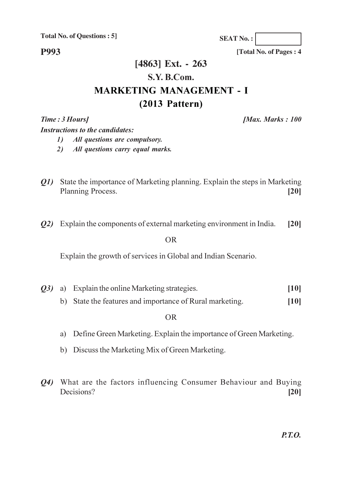**Total No. of Questions: 5]** 

**SEAT No.:** 

**P993** 

[Total No. of Pages: 4]

# [4863] Ext. - 263  $S.Y. B. Com.$ **MARKETING MANAGEMENT - I**  $(2013$  Pattern)

Time: 3 Hours]

[Max. Marks: 100

**Instructions to the candidates:** 

All questions are compulsory.  $1)$ 

 $2)$ All questions carry equal marks.

- *Q1*) State the importance of Marketing planning. Explain the steps in Marketing Planning Process.  $\left[20\right]$
- Q2) Explain the components of external marketing environment in India.  $\left[20\right]$

### **OR**

Explain the growth of services in Global and Indian Scenario.

- *(03)* a) Explain the online Marketing strategies.  $[10]$ 
	- b) State the features and importance of Rural marketing.  $[10]$

### **OR**

- a) Define Green Marketing. Explain the importance of Green Marketing.
- b) Discuss the Marketing Mix of Green Marketing.
- *Q4*) What are the factors influencing Consumer Behaviour and Buying Decisions?  $[20]$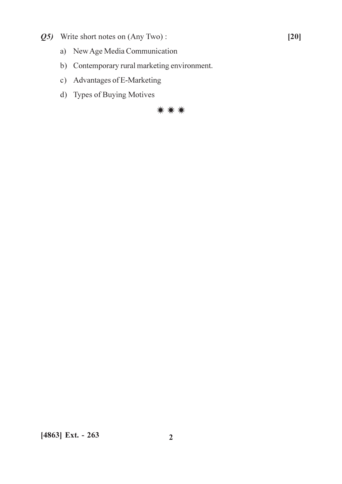- Q5) Write short notes on (Any Two):
	- a) New Age Media Communication
	- b) Contemporary rural marketing environment.
	- c) Advantages of E-Marketing
	- d) Types of Buying Motives



 $\overline{2}$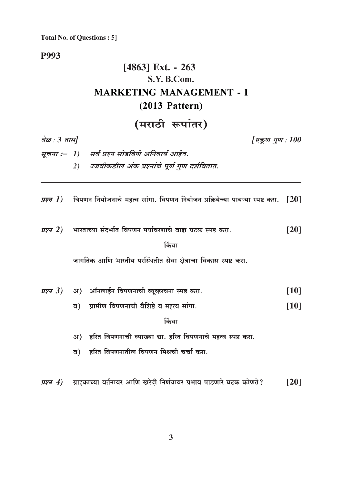**P993** 

# [4863] Ext. - 263 S.Y. B.Com. **MARKETING MANAGEMENT - I**  $(2013$  Pattern)

(मराठी रूपांतर)

| वेळ : 3 तास] |    |                                                                                                  | एकूण गुण : 100 |                    |
|--------------|----|--------------------------------------------------------------------------------------------------|----------------|--------------------|
|              |    | सूचना :- 1) सर्व प्रश्न सोडविणे अनिवार्य आहेत.                                                   |                |                    |
|              |    | 2) उजवीकडील अंक प्रश्नांचे पूर्ण गुण दर्शवितात.                                                  |                |                    |
|              |    | <i>प्रश्न 1</i> )    विपणन नियोजनाचे महत्व सांगा. विपणन नियोजन प्रक्रियेच्या पायऱ्या स्पष्ट करा. |                | $\lceil 20 \rceil$ |
|              |    | <i>प्रश्न 2)</i> भारताच्या संदर्भात विपणन पर्यावरणाचे बाह्य घटक स्पष्ट करा.<br>किंवा             |                | [20]               |
|              |    | जागतिक आणि भारतीय परस्थितीत सेवा क्षेत्राचा विकास स्पष्ट करा.                                    |                |                    |
|              |    | <i>प्रश्न 3)</i> अ) ऑनलाईन विपणनाची व्यूव्हरचना स्पष्ट करा.                                      |                | [10]               |
|              | ब) | ग्रामीण विपणनाची वैशिष्टे व महत्व सांगा.                                                         |                | [10]               |
|              |    | किंवा                                                                                            |                |                    |
|              |    | अ) हरित विपणनाची व्याख्या द्या. हरित विपणनाचे महत्व स्पष्ट करा.                                  |                |                    |
|              |    | ब) हरित विपणनातील विपणन मिश्रची चर्चा करा.                                                       |                |                    |
|              |    |                                                                                                  |                |                    |

 $[20]$ 

*प्रश्न 4*) प्राहकाच्या वर्तनावर आणि खरेदी निर्णयावर प्रभाव पाडणारे घटक कोणते?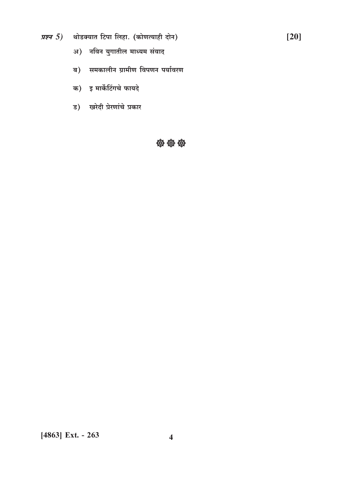- *प्रश्न 5)* थोडक्यात टिपा लिहा. (कोणत्याही दोन)
	- अ) नविन युगातील माध्यम संवाद
	- ब) समकालीन ग्रामीण विपणन पर्यावरण
	- क) इ मार्केटिंगचे फायदे
	- ड) खरेदी प्रेरणांचे प्रकार

袋 袋 袋

 $[20]$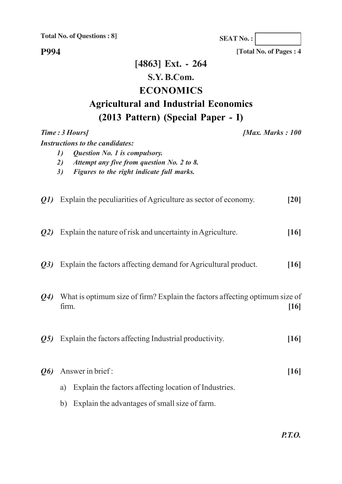**Total No. of Questions : 8]**

**SEAT No. :**

**P994**

**[Total No. of Pages : 4 [4863] Ext. - 264 S.Y. B.Com. ECONOMICS Agricultural and Industrial Economics (2013 Pattern) (Special Paper - I)**

|                 |                                 | Time: 3 Hours]                                                                                                                                                     | [Max. Marks: 100 |
|-----------------|---------------------------------|--------------------------------------------------------------------------------------------------------------------------------------------------------------------|------------------|
|                 | $\boldsymbol{\eta}$<br>2)<br>3) | <b>Instructions to the candidates:</b><br>Question No. 1 is compulsory.<br>Attempt any five from question No. 2 to 8.<br>Figures to the right indicate full marks. |                  |
| Q1)             |                                 | Explain the peculiarities of Agriculture as sector of economy.                                                                                                     | [20]             |
| Q2)             |                                 | Explain the nature of risk and uncertainty in Agriculture.                                                                                                         | [16]             |
| Q3)             |                                 | Explain the factors affecting demand for Agricultural product.                                                                                                     | [16]             |
| $Q_4$           | firm.                           | What is optimum size of firm? Explain the factors affecting optimum size of                                                                                        | [16]             |
| Q5)             |                                 | Explain the factors affecting Industrial productivity.                                                                                                             | [16]             |
| $\overline{Q6}$ |                                 | Answer in brief:                                                                                                                                                   | [16]             |
|                 | a)                              | Explain the factors affecting location of Industries.                                                                                                              |                  |
|                 |                                 | b) Explain the advantages of small size of farm.                                                                                                                   |                  |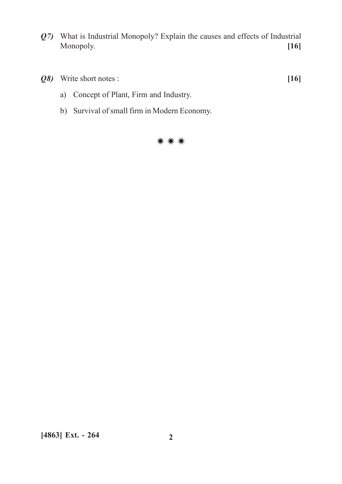- Q7) What is Industrial Monopoly? Explain the causes and effects of Industrial Monopoly.  $[16]$
- Q8) Write short notes :  $[16]$ 
	- a) Concept of Plant, Firm and Industry.
	- b) Survival of small firm in Modern Economy.

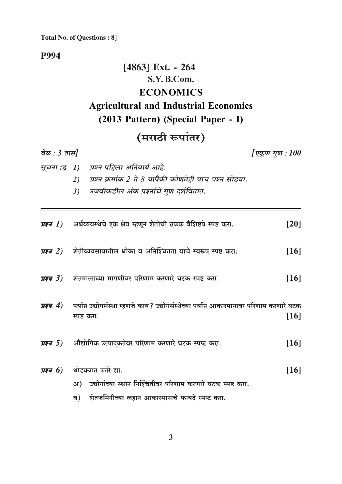**Total No. of Questions: 8]** 

**P994** 

# [4863] Ext. - 264 S.V. B.Com. **ECONOMICS Agricultural and Industrial Economics** (2013 Pattern) (Special Paper - I)

## (मराठी रूपांतर)

वेळ:  $3 \pi \pi l$ [एकूण गुण : 100 प्रश्न पहिला अनिवार्य आहे. सूचना :ह्र 1) प्रश्न क्रमांक 2 ते 8 यापैकी कोणतेही पाच प्रश्न सोडवा.  $2)$ उजवीकडील अंक प्रश्नांचे गुण दर्शवितात.  $3)$ अर्थव्यवस्थेचे एक क्षेत्र म्हणून शेतीची ठळक वैशिष्टये स्पष्ट करा.  $[20]$ प्रश्न $1)$ शेतीव्यवसायातील धोका व अनिश्चितता याचे स्वरूप स्पष्ट करा. प्रश्न $(2)$  $[16]$ शेतमालाच्या मागणीवर परिणाम करणारे घटक स्पष्ट करा. प्रश्न $(3)$  $[16]$ पर्याप्त उद्योगसंस्था म्हणजे काय? उद्योगसंस्थेच्या पर्याप्त आकारमानावर परिणाम करणारे घटक प्रश्न $(4)$  $[16]$ स्पष्ट करा. औद्योगिक उत्पादकतेवर परिणाम करणारे घटक स्पष्ट करा. प्रश्न $(5)$  $[16]$ प्रश्न $6)$ थोडक्यात उत्तरे द्या.  $[16]$ अ) उद्योगांच्या स्थान निश्चितीवर परिणाम करणारे घटक स्पष्ट करा.

ब) शेतजमिनीच्या लहान आकारमानाचे फायदे स्पष्ट करा.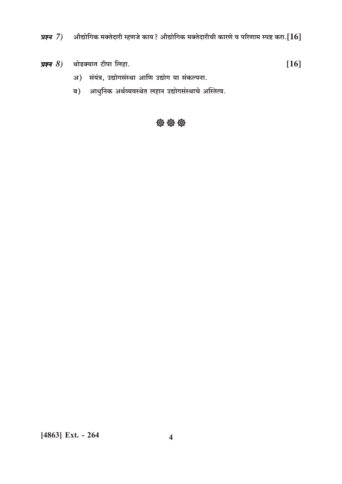प्रश्न 7) औद्योगिक मक्तेदारी म्हणजे काय? औद्योगिक मक्तेदारीची कारणे व परिणाम स्पष्ट करा.[ $16]$ 

 $[16]$ 

## प्रश्न 8) थोडक्यात टीपा लिहा.

- अ) संयंत्र, उद्योगसंस्था आणि उद्योग या संकल्पना.
- ब) आधुनिक अर्थव्यवस्थेत लहान उद्योगसंस्थाचे अस्तित्व.

### \*\*\*\*\*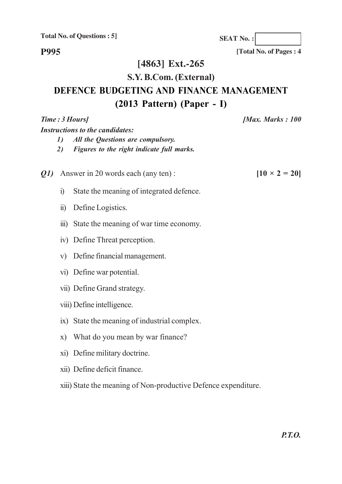**Total No. of Questions : 5]**

**SEAT No. :**

**P995**

**[Total No. of Pages : 4**

# **[4863] Ext.-265**

## **S.Y. B.Com. (External) DEFENCE BUDGETING AND FINANCE MANAGEMENT (2013 Pattern) (Paper - I)**

|     |                                    | Time: 3 Hours]<br><b>Instructions to the candidates:</b>                       | [Max. Marks: 100]    |
|-----|------------------------------------|--------------------------------------------------------------------------------|----------------------|
|     | 1)<br>2)                           | All the Questions are compulsory.<br>Figures to the right indicate full marks. |                      |
| Q1) | Answer in 20 words each (any ten): |                                                                                | $[10 \times 2 = 20]$ |
|     | $\ddot{1}$                         | State the meaning of integrated defence.                                       |                      |
|     | $\ddot{1}$                         | Define Logistics.                                                              |                      |
|     |                                    | iii) State the meaning of war time economy.                                    |                      |
|     |                                    | iv) Define Threat perception.                                                  |                      |
|     | V)                                 | Define financial management.                                                   |                      |
|     |                                    | vi) Define war potential.                                                      |                      |
|     |                                    | vii) Define Grand strategy.                                                    |                      |
|     |                                    | viii) Define intelligence.                                                     |                      |
|     |                                    | ix) State the meaning of industrial complex.                                   |                      |
|     | $\mathbf{X}$ )                     | What do you mean by war finance?                                               |                      |
|     |                                    | xi) Define military doctrine.                                                  |                      |
|     |                                    | xii) Define deficit finance.                                                   |                      |

xiii) State the meaning of Non-productive Defence expenditure.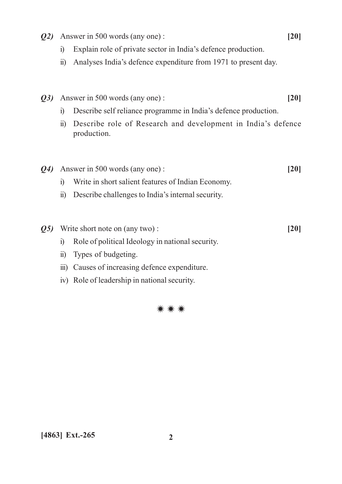|                                       | $\ddot{1}$                             | Explain role of private sector in India's defence production.               |      |  |  |  |
|---------------------------------------|----------------------------------------|-----------------------------------------------------------------------------|------|--|--|--|
|                                       | $\ddot{\textbf{i}}$                    | Analyses India's defence expenditure from 1971 to present day.              |      |  |  |  |
|                                       |                                        |                                                                             |      |  |  |  |
| Q3)                                   | Answer in 500 words (any one):<br>[20] |                                                                             |      |  |  |  |
|                                       | $\ddot{1}$                             | Describe self reliance programme in India's defence production.             |      |  |  |  |
|                                       | $\ddot{u}$                             | Describe role of Research and development in India's defence<br>production. |      |  |  |  |
|                                       |                                        |                                                                             |      |  |  |  |
| Answer in 500 words (any one):<br>Q4) |                                        |                                                                             | [20] |  |  |  |
|                                       | $\ddot{1}$                             | Write in short salient features of Indian Economy.                          |      |  |  |  |
|                                       | $\ddot{u}$                             | Describe challenges to India's internal security.                           |      |  |  |  |
|                                       |                                        |                                                                             |      |  |  |  |
| Write short note on (any two):<br>Q5) |                                        |                                                                             | [20] |  |  |  |
|                                       | $\ddot{1}$                             | Role of political Ideology in national security.                            |      |  |  |  |
|                                       | $\dddot{\mathbf{n}})$                  | Types of budgeting.                                                         |      |  |  |  |
|                                       | $\overline{111}$                       | Causes of increasing defence expenditure.                                   |      |  |  |  |
|                                       |                                        | iv) Role of leadership in national security.                                |      |  |  |  |

*Q2)* Answer in 500 words (any one) : **[20]**

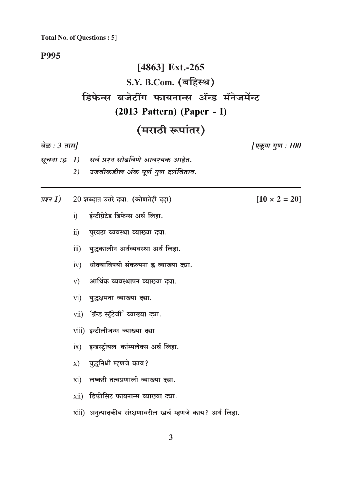**P995** 

# [4863] Ext.-265 S.Y. B.Com. (बहिस्थ) डिफेन्स बजेटींग फायनान्स ॲन्ड मॅनेजमेंन्ट  $(2013$  Pattern) (Paper - I) (मराठी रूपांतर)

|  |  |  | वळ : .३ तास। |
|--|--|--|--------------|
|--|--|--|--------------|

[एकूण गुण : 100

 $[10 \times 2 = 20]$ 

- सूचना :ह्र 1) सर्व प्रश्न सोडविणे आवश्यक आहेत.
	- उजवीकडील अंक पूर्ण गुण दर्शवितात.  $2)$
- $20$  शब्दात उत्तरे द्या. (कोणतेही दहा) प्रश्न  $I$ )
	- इंन्टीग्रेटेड डिफेन्स अर्थ लिहा.  $\ddot{1}$
	- पुरवठा व्यवस्था व्याख्या द्या.  $\ddot{\mathbf{n}}$ )
	- iii) युद्धकालीन अर्थव्यवस्था अर्थ लिहा.
	- $iv)$  धोक्याविषयी संकल्पना ह्न व्याख्या द्या.
	- आर्थिक व्यवस्थापन व्याख्या द्या.  $V)$
	- vi) युद्धक्षमता व्याख्या द्या.
	- vii) 'ग्रॅन्ड स्टूॅटेजी' व्याख्या द्या.
	- viii) इन्टीलीजन्स व्याख्या द्या
	- ix) इन्डस्ट्रीयल कॉम्पलेक्स अर्थ लिहा.
	- $x)$  युद्धनिधी म्हणजे काय?
	- $xi)$  लष्करी तत्वप्रणाली व्याख्या द्या.
	- xii) डिफीसिट फायनान्स व्याख्या द्या.
	- xiii) अनत्पादकीय संरक्षणावरील खर्च म्हणजे काय? अर्थ लिहा.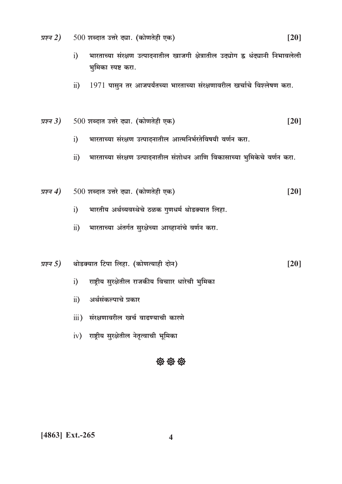- $500$  शब्दात उत्तरे द्या. (कोणतेही एक) प्रश्न  $2)$ 
	- भारताच्या संरक्षण उत्पादनातील खाजगी क्षेत्रातील उद्योग ह्न धंद्यानी निभावलेली  $i)$ भूमिका स्पष्ट करा.
	- 1971 पासून तर आजपर्यंतच्या भारताच्या संरक्षणावरील खर्चाचे विश्लेषण करा.  $\ddot{u}$ )

$$
\frac{1}{20}
$$
 500 शब्दात उत्तरे द्या. (कोणतेही एक)

- भारताच्या संरक्षण उत्पादनातील आत्मनिर्भरतेविषयी वर्णन करा.  $i)$
- भारताच्या संरक्षण उत्पादनातील संशोधन आणि विकासाच्या भुमिकेचे वर्णन करा.  $\ddot{u}$ )
- $500$  शब्दात उत्तरे द्या. (कोणतेही एक) प्रश्न  $4)$  $[20]$ 
	- भारतीय अर्थव्यवस्थेचे ठळक गुणधर्म थोडक्यात लिहा.  $i)$
	- भारताच्या अंतर्गत सुरक्षेच्या आव्हानांचे वर्णन करा.  $\ddot{u}$ )
- थोडक्यात टिपा लिहा. (कोणत्याही दोन) प्रश्न  $5)$  $[20]$ 
	- राष्ट्रीय सुरक्षेतील राजकीय विचाार धारेची भुमिका  $i)$
	- ii) अर्थसंकल्पाचे प्रकार
	- iii) संरक्षणावरील खर्च वाढण्याची कारणे
	- iv) राष्ट्रीय सुरक्षेतील नेतृत्वाची भूमिका

#### 439 439 439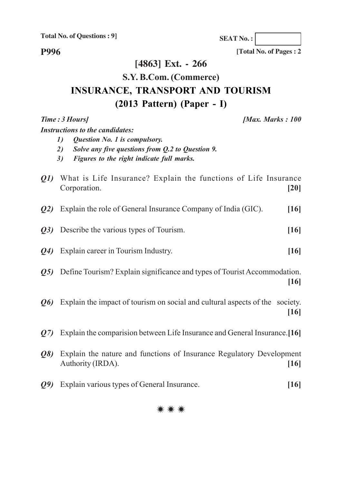**Total No. of Questions : 9]**

**SEAT No. :**

**P996**

**[Total No. of Pages : 2**

## **[4863] Ext. - 266**

## **S.Y. B.Com. (Commerce) INSURANCE, TRANSPORT AND TOURISM (2013 Pattern) (Paper - I)**

### *Time : 3 Hours] [Max. Marks : 100*

*Instructions to the candidates:*

- *1) Question No. 1 is compulsory.*
- *2) Solve any five questions from Q.2 to Question 9.*
- *3) Figures to the right indicate full marks.*

| Q1)             | What is Life Insurance? Explain the functions of Life Insurance<br>Corporation.<br>[20]           |  |  |
|-----------------|---------------------------------------------------------------------------------------------------|--|--|
| $Q2$ )          | Explain the role of General Insurance Company of India (GIC).<br>$[16]$                           |  |  |
| Q3)             | Describe the various types of Tourism.                                                            |  |  |
| $Q_4$           | Explain career in Tourism Industry.<br>[16]                                                       |  |  |
| $\overline{Q5}$ | Define Tourism? Explain significance and types of Tourist Accommodation.<br>[16]                  |  |  |
| Q6)             | Explain the impact of tourism on social and cultural aspects of the society.<br>[16]              |  |  |
| Q(2)            | Explain the comparision between Life Insurance and General Insurance. [16]                        |  |  |
| Q8)             | Explain the nature and functions of Insurance Regulatory Development<br>Authority (IRDA).<br>[16] |  |  |
| 09)             | Explain various types of General Insurance.<br>[16]                                               |  |  |
|                 |                                                                                                   |  |  |

### ÑÑÑ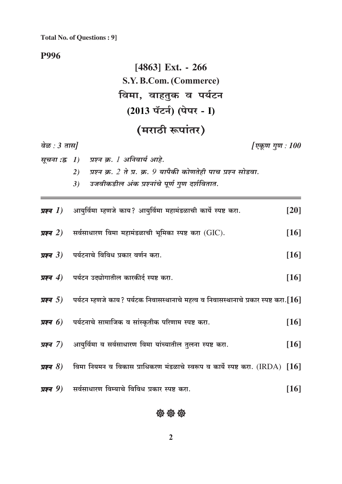**Total No. of Questions: 9]** 

**P996** 

# [4863] Ext. - 266 S.Y. B.Com. (Commerce) विमा, वाहतूक व पर्यटन (2013 पॅटर्न) (पेपर - I) (मराठी रूपांतर)

#### वेळ :  $3 \pi \mathcal{H}$ [एकूण गुण : 100 सूचना :ह्र 1) प्रश्न क्र. 1 अनिवार्य आहे. प्रश्न क्र. 2 ते प्र. क्र. 9 यापैकी कोणतेही पाच प्रश्न सोडवा.  $2)$ उजवीकडील अंक प्रश्नांचे पूर्ण गुण दर्शवितात.  $3)$ आयुर्विमा म्हणजे काय? आयुर्विमा महामंडळाची कार्ये स्पष्ट करा. प्रश्न $(1)$  $\lceil 20 \rceil$ प्रश्न $2)$ सर्वसाधारण विमा महामंडळाची भूमिका स्पष्ट करा  $(GIC)$ .  $[16]$ पर्यटनाचे विविध प्रकार वर्णन करा. प्रश्न $3)$  $[16]$ पर्यटन उद्योगातील कारकीर्द स्पष्ट करा. प्रश्न $(4)$  $[16]$ पर्यटन म्हणजे काय? पर्यटक निवासस्थानाचे महत्व व निवासस्थानाचे प्रकार स्पष्ट करा.[ ${\bf 16}$ ] प्रश्न $5)$ पर्यटनाचे सामाजिक व सांस्कृतीक परिणाम स्पष्ट करा.  $[16]$ प्रश्न $6)$ आयुर्विमा व सर्वसाधारण विमा यांच्यातील तुलना स्पष्ट करा. प्रश्न $(7)$  $[16]$ विमा नियमन व विकास प्राधिकरण मंडळाचे स्वरूप व कार्ये स्पष्ट करा. (IRDA)  $[16]$ प्रश्न $8)$ सर्वसाधारण विम्याचे विविध प्रकार स्पष्ट करा. प्रश्न $9)$  $[16]$

### \*\*\*\*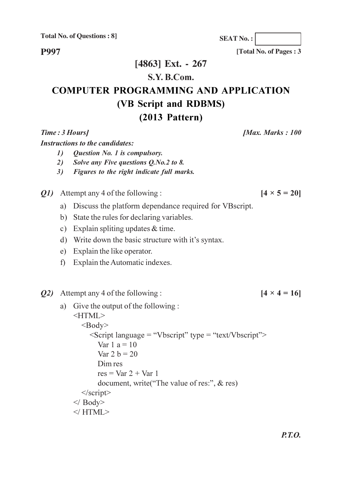**Total No. of Questions: 8]** 

**P997** 

## [4863] Ext. - 267

### S.Y. B.Com.

## **COMPUTER PROGRAMMING AND APPLICATION** (VB Script and RDBMS)  $(2013$  Pattern)

Time: 3 Hours]

**Instructions to the candidates:** 

- $1)$ **Question No. 1 is compulsory.**
- $2)$ Solve any Five questions O.No.2 to 8.
- Figures to the right indicate full marks.  $3)$
- *Q1*) Attempt any 4 of the following:
	- a) Discuss the platform dependance required for VBscript.
	- b) State the rules for declaring variables.
	- c) Explain spliting updates  $&$  time.
	- d) Write down the basic structure with it's syntax.
	- e) Explain the like operator.
	- f) Explain the Automatic indexes.
- $Q2$ ) Attempt any 4 of the following :
	- a) Give the output of the following:  $<$ HTML $>$  $<$ Body>  $\le$ Script language = "Vbscript" type = "text/Vbscript"> Var 1  $a = 10$ Var  $2 b = 20$ Dim res
		- $res = Var 2 + Var 1$ document, write ("The value of res:", & res)
		- $\langle$ script $\rangle$
		- $\langle$  Body>
		- $\langle$ /HTML>

 $[4 \times 5 = 20]$ 

 $[4 \times 4 = 16]$ 

 $P.T.O.$ 

**SEAT No.:** 

[Total No. of Pages: 3]

[Max. Marks: 100]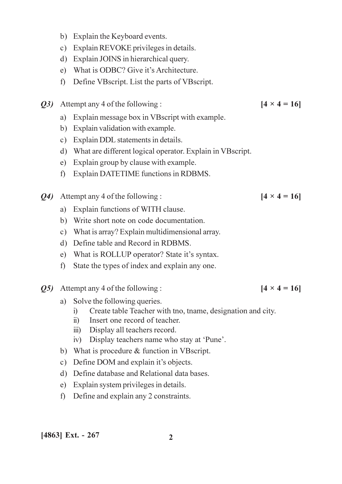- b) Explain the Keyboard events.
- c) Explain REVOKE privileges in details.
- d) Explain JOINS in hierarchical query.
- e) What is ODBC? Give it's Architecture.
- f) Define VBscript. List the parts of VBscript.
- *Q3*) Attempt any 4 of the following :
	- a) Explain message box in VBscript with example.
	- b) Explain validation with example.
	- c) Explain DDL statements in details.
	- d) What are different logical operator. Explain in VBscript.
	- e) Explain group by clause with example.
	- f) Explain DATETIME functions in RDBMS.
- *Q4* Attempt any 4 of the following :
	- a) Explain functions of WITH clause.
	- b) Write short note on code documentation.
	- c) What is array? Explain multidimensional array.
	- d) Define table and Record in RDBMS.
	- e) What is ROLLUP operator? State it's syntax.
	- f) State the types of index and explain any one.
- Q5) Attempt any 4 of the following :
	- a) Solve the following queries.
		- $i)$ Create table Teacher with tno, tname, designation and city.
		- ii) Insert one record of teacher.
		- iii) Display all teachers record.
		- iv) Display teachers name who stay at 'Pune'.
	- b) What is procedure  $&$  function in VBscript.
	- c) Define DOM and explain it's objects.
	- d) Define database and Relational data bases.
	- e) Explain system privileges in details.
	- f) Define and explain any 2 constraints.

[4863] Ext. - 267

 $[4 \times 4 = 16]$ 

 $[4 \times 4 = 16]$ 

 $[4 \times 4 = 16]$